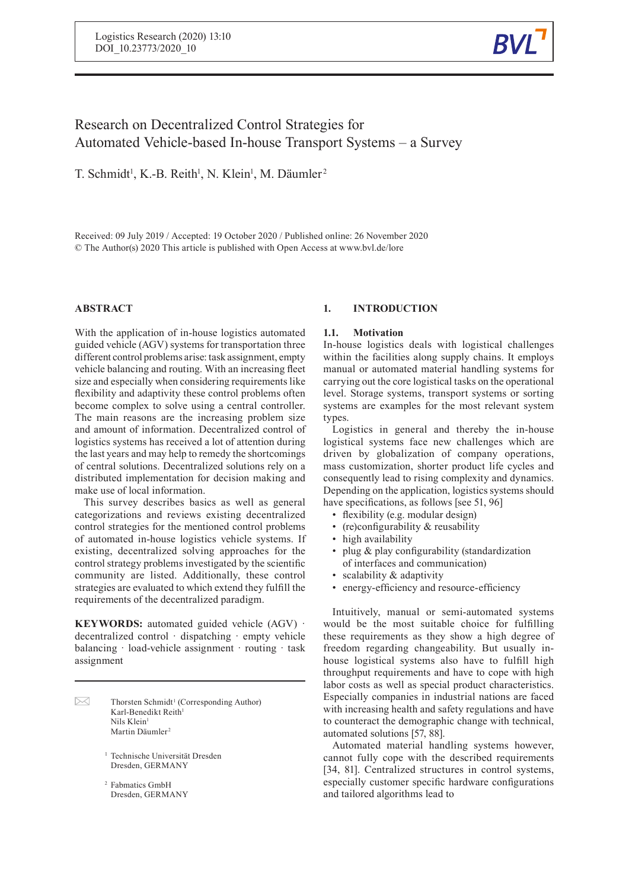

# Research on Decentralized Control Strategies for Automated Vehicle-based In-house Transport Systems – a Survey

T. Schmidt<sup>1</sup>, K.-B. Reith<sup>1</sup>, N. Klein<sup>1</sup>, M. Däumler<sup>2</sup>

Received: 09 July 2019 / Accepted: 19 October 2020/Published online: 26 November 2020 © The Author(s) 2020 This article is published with Open Access at www.bvl.de/lore

# **ABSTRACT**

With the application of in-house logistics automated guided vehicle (AGV) systems for transportation three different control problems arise: task assignment, empty vehicle balancing and routing. With an increasing fleet size and especially when considering requirements like flexibility and adaptivity these control problems often become complex to solve using a central controller. The main reasons are the increasing problem size and amount of information. Decentralized control of logistics systems has received a lot of attention during the last years and may help to remedy the shortcomings of central solutions. Decentralized solutions rely on a distributed implementation for decision making and make use of local information.

This survey describes basics as well as general categorizations and reviews existing decentralized control strategies for the mentioned control problems of automated in-house logistics vehicle systems. If existing, decentralized solving approaches for the control strategy problems investigated by the scientific community are listed. Additionally, these control strategies are evaluated to which extend they fulfill the requirements of the decentralized paradigm.

**KEYWORDS:** automated guided vehicle (AGV) · decentralized control dispatching empty vehicle balancing load-vehicle assignment routing task assignment

 $\boxtimes$ Thorsten Schmidt 1 (Corresponding Author) Karl-Benedikt Reith 1 Nils Klein 1 Martin Däumler<sup>2</sup>

> <sup>1</sup> Technische Universität Dresden Dresden, GERMANY

<sup>2</sup> Fabmatics GmbH Dresden, GERMANY

# **1. INTRODUCTION**

# **1.1. Motivation**

In-house logistics deals with logistical challenges within the facilities along supply chains. It employs manual or automated material handling systems for carrying out the core logistical tasks on the operational level. Storage systems, transport systems or sorting systems are examples for the most relevant system types.

Logistics in general and thereby the in-house logistical systems face new challenges which are driven by globalization of company operations, mass customization, shorter product life cycles and consequently lead to rising complexity and dynamics. Depending on the application, logistics systems should have specifications, as follows [see 51, 96]

- flexibility (e.g. modular design)
- $(re)$ configurability & reusability
- high availability
- plug & play configurability (standardization of interfaces and communication)
- scalability & adaptivity
- energy-efficiency and resource-efficiency

Intuitively, manual or semi-automated systems would be the most suitable choice for fulfilling these requirements as they show a high degree of freedom regarding changeability. But usually inhouse logistical systems also have to fulfill high throughput requirements and have to cope with high labor costs as well as special product characteristics. Especially companies in industrial nations are faced with increasing health and safety regulations and have to counteract the demographic change with technical, automated solutions [57, 88].

Automated material handling systems however, cannot fully cope with the described requirements [34, 81]. Centralized structures in control systems, especially customer specific hardware configurations and tailored algorithms lead to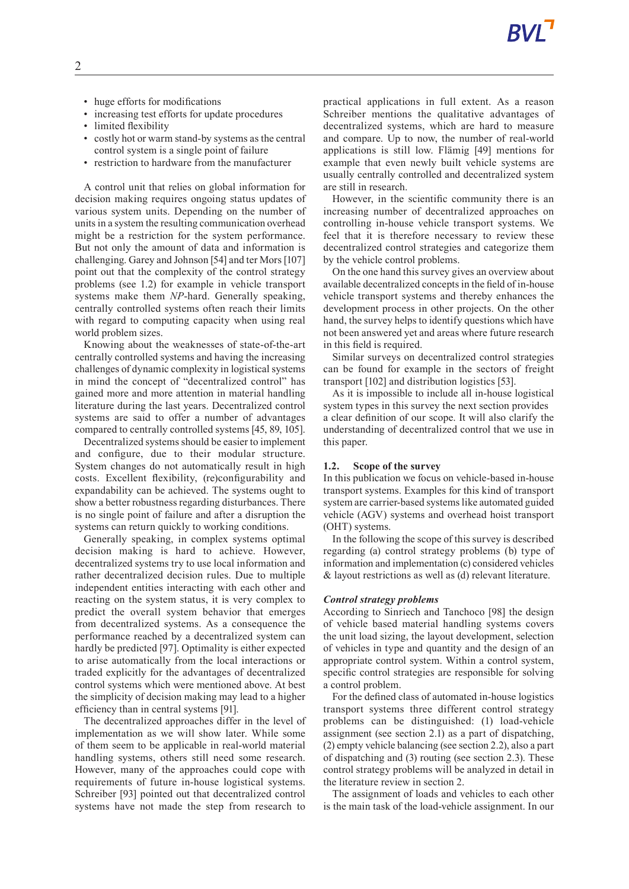- huge efforts for modifications
- increasing test efforts for update procedures
- limited flexibility
- costly hot or warm stand-by systems as the central control system is a single point of failure
- restriction to hardware from the manufacturer

A control unit that relies on global information for decision making requires ongoing status updates of various system units. Depending on the number of units in a system the resulting communication overhead might be a restriction for the system performance. But not only the amount of data and information is challenging. Garey and Johnson [54] and ter Mors [107] point out that the complexity of the control strategy problems (see 1.2) for example in vehicle transport systems make them *NP*-hard. Generally speaking, centrally controlled systems often reach their limits with regard to computing capacity when using real world problem sizes.

Knowing about the weaknesses of state-of-the-art centrally controlled systems and having the increasing challenges of dynamic complexity in logistical systems in mind the concept of "decentralized control" has gained more and more attention in material handling literature during the last years. Decentralized control systems are said to offer a number of advantages compared to centrally controlled systems [45, 89, 105].

Decentralized systems should be easier to implement and configure, due to their modular structure. System changes do not automatically result in high costs. Excellent flexibility, (re)configurability and expandability can be achieved. The systems ought to show a better robustness regarding disturbances. There is no single point of failure and after a disruption the systems can return quickly to working conditions.

Generally speaking, in complex systems optimal decision making is hard to achieve. However, decentralized systems try to use local information and rather decentralized decision rules. Due to multiple independent entities interacting with each other and reacting on the system status, it is very complex to predict the overall system behavior that emerges from decentralized systems. As a consequence the performance reached by a decentralized system can hardly be predicted [97]. Optimality is either expected to arise automatically from the local interactions or traded explicitly for the advantages of decentralized control systems which were mentioned above. At best the simplicity of decision making may lead to a higher efficiency than in central systems [91].

The decentralized approaches differ in the level of implementation as we will show later. While some of them seem to be applicable in real-world material handling systems, others still need some research. However, many of the approaches could cope with requirements of future in-house logistical systems. Schreiber [93] pointed out that decentralized control systems have not made the step from research to

practical applications in full extent. As a reason Schreiber mentions the qualitative advantages of decentralized systems, which are hard to measure and compare. Up to now, the number of real-world applications is still low. Flämig [49] mentions for example that even newly built vehicle systems are usually centrally controlled and decentralized system are still in research.

However, in the scientific community there is an increasing number of decentralized approaches on controlling in-house vehicle transport systems. We feel that it is therefore necessary to review these decentralized control strategies and categorize them by the vehicle control problems.

On the one hand this survey gives an overview about available decentralized concepts in the field of in-house vehicle transport systems and thereby enhances the development process in other projects. On the other hand, the survey helps to identify questions which have not been answered yet and areas where future research in this field is required.

Similar surveys on decentralized control strategies can be found for example in the sectors of freight transport [102] and distribution logistics [53].

As it is impossible to include all in-house logistical system types in this survey the next section provides a clear definition of our scope. It will also clarify the understanding of decentralized control that we use in this paper.

#### **1.2. Scope of the survey**

In this publication we focus on vehicle-based in-house transport systems. Examples for this kind of transport system are carrier-based systems like automated guided vehicle (AGV) systems and overhead hoist transport (OHT) systems.

In the following the scope of this survey is described regarding (a) control strategy problems (b) type of information and implementation (c) considered vehicles & layout restrictions as well as (d) relevant literature.

#### *Control strategy problems*

According to Sinriech and Tanchoco [98] the design of vehicle based material handling systems covers the unit load sizing, the layout development, selection of vehicles in type and quantity and the design of an appropriate control system. Within a control system, specific control strategies are responsible for solving a control problem.

For the defined class of automated in-house logistics transport systems three different control strategy problems can be distinguished: (1) load-vehicle assignment (see section 2.1) as a part of dispatching, (2) empty vehicle balancing (see section 2.2), also a part of dispatching and (3) routing (see section 2.3). These control strategy problems will be analyzed in detail in the literature review in section 2.

The assignment of loads and vehicles to each other is the main task of the load-vehicle assignment. In our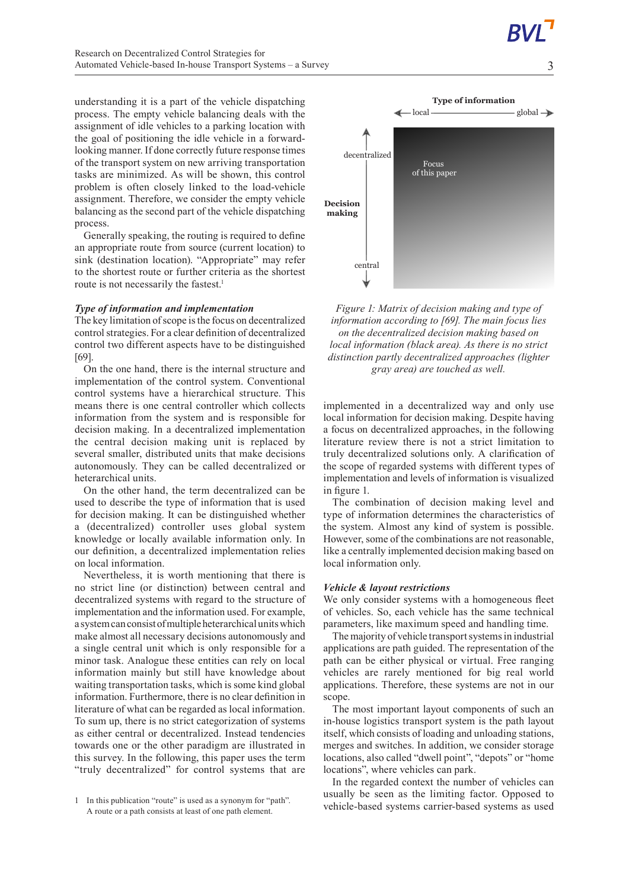understanding it is a part of the vehicle dispatching process. The empty vehicle balancing deals with the assignment of idle vehicles to a parking location with the goal of positioning the idle vehicle in a forwardlooking manner. If done correctly future response times of the transport system on new arriving transportation tasks are minimized. As will be shown, this control problem is often closely linked to the load-vehicle assignment. Therefore, we consider the empty vehicle balancing as the second part of the vehicle dispatching process.

Generally speaking, the routing is required to define an appropriate route from source (current location) to sink (destination location). "Appropriate" may refer to the shortest route or further criteria as the shortest route is not necessarily the fastest.<sup>1</sup>

#### *Type of information and implementation*

The key limitation of scope is the focus on decentralized control strategies. For a clear definition of decentralized control two different aspects have to be distinguished [69].

On the one hand, there is the internal structure and implementation of the control system. Conventional control systems have a hierarchical structure. This means there is one central controller which collects information from the system and is responsible for decision making. In a decentralized implementation the central decision making unit is replaced by several smaller, distributed units that make decisions autonomously. They can be called decentralized or heterarchical units.

On the other hand, the term decentralized can be used to describe the type of information that is used for decision making. It can be distinguished whether a (decentralized) controller uses global system knowledge or locally available information only. In our definition, a decentralized implementation relies on local information.

Nevertheless, it is worth mentioning that there is no strict line (or distinction) between central and decentralized systems with regard to the structure of implementation and the information used. For example, a systemcan consistofmultipleheterarchicalunits which make almost all necessary decisions autonomously and a single central unit which is only responsible for a minor task. Analogue these entities can rely on local information mainly but still have knowledge about waiting transportation tasks, which is some kind global information. Furthermore, there is no clear definition in literature of what can be regarded as local information. To sum up, there is no strict categorization of systems as either central or decentralized. Instead tendencies towards one or the other paradigm are illustrated in this survey. In the following, this paper uses the term "truly decentralized" for control systems that are



*Figure 1: Matrix of decision making and type of information according to [69]. The main focus lies on the decentralized decision making based on local information (black area). As there is no strict distinction partly decentralized approaches (lighter gray area) are touched as well.*

implemented in a decentralized way and only use local information for decision making. Despite having a focus on decentralized approaches, in the following literature review there is not a strict limitation to truly decentralized solutions only. A clarification of the scope of regarded systems with different types of implementation and levels of information is visualized in figure 1.

The combination of decision making level and type of information determines the characteristics of the system. Almost any kind of system is possible. However, some of the combinations are not reasonable, like a centrally implemented decision making based on local information only.

#### *Vehicle&layout restrictions*

We only consider systems with a homogeneous fleet of vehicles. So, each vehicle has the same technical parameters, like maximum speed and handling time.

The majority of vehicle transport systems in industrial applications are path guided. The representation of the path can be either physical or virtual. Free ranging vehicles are rarely mentioned for big real world applications. Therefore, these systems are not in our scope.

The most important layout components of such an in-house logistics transport system is the path layout itself, which consists of loading and unloading stations, merges and switches. In addition, we consider storage locations, also called "dwell point", "depots" or "home locations", where vehicles can park.

In the regarded context the number of vehicles can usually be seen as the limiting factor. Opposed to vehicle-based systems carrier-based systems as used

<sup>1</sup> In this publication "route" is used as a synonym for "path". A route or a path consists at least of one path element.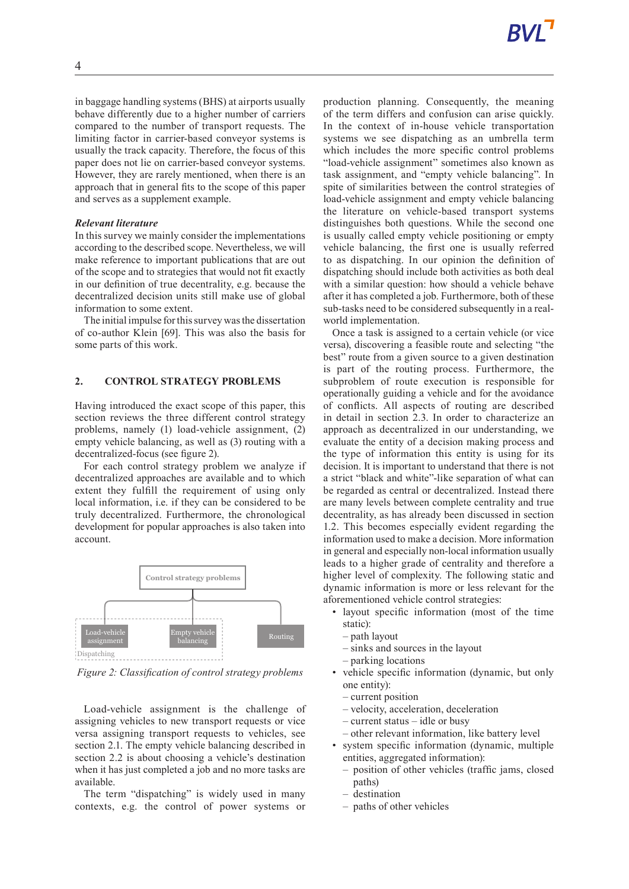in baggage handling systems (BHS) at airports usually behave differently due to a higher number of carriers compared to the number of transport requests. The limiting factor in carrier-based conveyor systems is usually the track capacity. Therefore, the focus of this paper does not lie on carrier-based conveyor systems. However, they are rarely mentioned, when there is an approach that in general fits to the scope of this paper and serves as a supplement example.

## *Relevant literature*

In this survey we mainly consider the implementations according to the described scope. Nevertheless, we will make reference to important publications that are out of the scope and to strategies that would not fit exactly in our definition of true decentrality, e.g. because the decentralized decision units still make use of global information to some extent.

The initial impulse for this survey was the dissertation of co-author Klein [69]. This was also the basis for some parts of this work.

# **2. CONTROL STRATEGY PROBLEMS**

Having introduced the exact scope of this paper, this section reviews the three different control strategy problems, namely (1) load-vehicle assignment, (2) empty vehicle balancing, as well as (3) routing with a decentralized-focus (see figure 2).

For each control strategy problem we analyze if decentralized approaches are available and to which extent they fulfill the requirement of using only local information, i.e. if they can be considered to be truly decentralized. Furthermore, the chronological development for popular approaches is also taken into account.



*Figure 2: Classification of control strategy problems*

Load-vehicle assignment is the challenge of assigning vehicles to new transport requests or vice versa assigning transport requests to vehicles, see section 2.1. The empty vehicle balancing described in section 2.2 is about choosing a vehicle's destination when it has just completed a job and no more tasks are available.

The term "dispatching" is widely used in many contexts, e.g. the control of power systems or production planning. Consequently, the meaning of the term differs and confusion can arise quickly. In the context of in-house vehicle transportation systems we see dispatching as an umbrella term which includes the more specific control problems "load-vehicle assignment" sometimes also known as task assignment, and "empty vehicle balancing". In spite of similarities between the control strategies of load-vehicle assignment and empty vehicle balancing the literature on vehicle-based transport systems distinguishes both questions. While the second one is usually called empty vehicle positioning or empty vehicle balancing, the first one is usually referred to as dispatching. In our opinion the definition of dispatching should include both activities as both deal with a similar question: how should a vehicle behave after it has completed a job. Furthermore, both of these sub-tasks need to be considered subsequently in a realworld implementation.

Once a task is assigned to a certain vehicle (or vice versa), discovering a feasible route and selecting "the best" route from a given source to a given destination is part of the routing process. Furthermore, the subproblem of route execution is responsible for operationally guiding a vehicle and for the avoidance of conflicts. All aspects of routing are described in detail in section 2.3. In order to characterize an approach as decentralized in our understanding, we evaluate the entity of a decision making process and the type of information this entity is using for its decision. It is important to understand that there is not a strict "black and white"-like separation of what can be regarded as central or decentralized. Instead there are many levels between complete centrality and true decentrality, as has already been discussed in section 1.2. This becomes especially evident regarding the information used to make a decision. More information in general and especially non-local information usually leads to a higher grade of centrality and therefore a higher level of complexity. The following static and dynamic information is more or less relevant for the aforementioned vehicle control strategies:

- layout specific information (most of the time static):
	- path layout
	- sinks and sources in the layout
	- parking locations
- vehicle specific information (dynamic, but only one entity):
	- current position
	- velocity, acceleration, deceleration
	- current status idle or busy
	- other relevant information, like battery level
- system specific information (dynamic, multiple entities, aggregated information):
	- position of other vehicles (traffic jams, closed paths)
	- destination
	- paths of other vehicles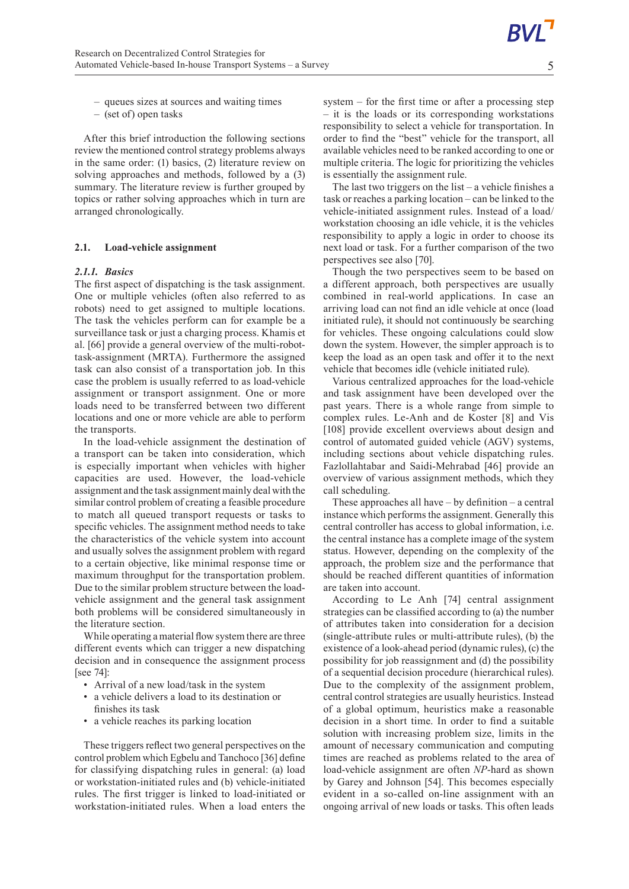5

- queues sizes at sources and waiting times
- (set of) open tasks

After this brief introduction the following sections review the mentioned control strategy problems always in the same order: (1) basics, (2) literature review on solving approaches and methods, followed by a (3) summary. The literature review is further grouped by topics or rather solving approaches which in turn are arranged chronologically.

# **2.1. Load-vehicle assignment**

## *2.1.1. Basics*

The first aspect of dispatching is the task assignment. One or multiple vehicles (often also referred to as robots) need to get assigned to multiple locations. The task the vehicles perform can for example be a surveillance task or just a charging process. Khamis et al. [66] provide a general overview of the multi-robottask-assignment (MRTA). Furthermore the assigned task can also consist of a transportation job. In this case the problem is usually referred to as load-vehicle assignment or transport assignment. One or more loads need to be transferred between two different locations and one or more vehicle are able to perform the transports.

In the load-vehicle assignment the destination of a transport can be taken into consideration, which is especially important when vehicles with higher capacities are used. However, the load-vehicle assignment and the task assignment mainly deal with the similar control problem of creating a feasible procedure to match all queued transport requests or tasks to specific vehicles. The assignment method needs to take the characteristics of the vehicle system into account and usually solves the assignment problem with regard to a certain objective, like minimal response time or maximum throughput for the transportation problem. Due to the similar problem structure between the loadvehicle assignment and the general task assignment both problems will be considered simultaneously in the literature section.

While operating a material flow system there are three different events which can trigger a new dispatching decision and in consequence the assignment process [see 74]:

- Arrival of a new load/task in the system
- a vehicle delivers a load to its destination or finishes its task
- a vehicle reaches its parking location

These triggers reflect two general perspectives on the control problem which Egbelu and Tanchoco [36] define for classifying dispatching rules in general: (a) load or workstation-initiated rules and (b) vehicle-initiated rules. The first trigger is linked to load-initiated or workstation-initiated rules. When a load enters the

system – for the first time or after a processing step – it is the loads or its corresponding workstations responsibility to select a vehicle for transportation. In order to find the "best" vehicle for the transport, all available vehicles need to be ranked according to one or multiple criteria. The logic for prioritizing the vehicles is essentially the assignment rule.

The last two triggers on the list – a vehicle finishes a task or reaches a parking location – can be linked to the vehicle-initiated assignment rules. Instead of a load/ workstation choosing an idle vehicle, it is the vehicles responsibility to apply a logic in order to choose its next load or task. For a further comparison of the two perspectives see also [70].

Though the two perspectives seem to be based on a different approach, both perspectives are usually combined in real-world applications. In case an arriving load can not find an idle vehicle at once (load initiated rule), it should not continuously be searching for vehicles. These ongoing calculations could slow down the system. However, the simpler approach is to keep the load as an open task and offer it to the next vehicle that becomes idle (vehicle initiated rule).

Various centralized approaches for the load-vehicle and task assignment have been developed over the past years. There is a whole range from simple to complex rules. Le-Anh and de Koster [8] and Vis [108] provide excellent overviews about design and control of automated guided vehicle (AGV) systems, including sections about vehicle dispatching rules. Fazlollahtabar and Saidi-Mehrabad [46] provide an overview of various assignment methods, which they call scheduling.

These approaches all have  $-$  by definition  $-$  a central instance which performs the assignment. Generally this central controller has access to global information, i.e. the central instance has a complete image of the system status. However, depending on the complexity of the approach, the problem size and the performance that should be reached different quantities of information are taken into account.

According to Le Anh [74] central assignment strategies can be classified according to (a) the number of attributes taken into consideration for a decision (single-attribute rules or multi-attribute rules), (b) the existence of a look-ahead period (dynamic rules), (c) the possibility for job reassignment and (d) the possibility of a sequential decision procedure (hierarchical rules). Due to the complexity of the assignment problem, central control strategies are usually heuristics. Instead of a global optimum, heuristics make a reasonable decision in a short time. In order to find a suitable solution with increasing problem size, limits in the amount of necessary communication and computing times are reached as problems related to the area of load-vehicle assignment are often *NP*-hard as shown by Garey and Johnson [54]. This becomes especially evident in a so-called on-line assignment with an ongoing arrival of new loads or tasks. This often leads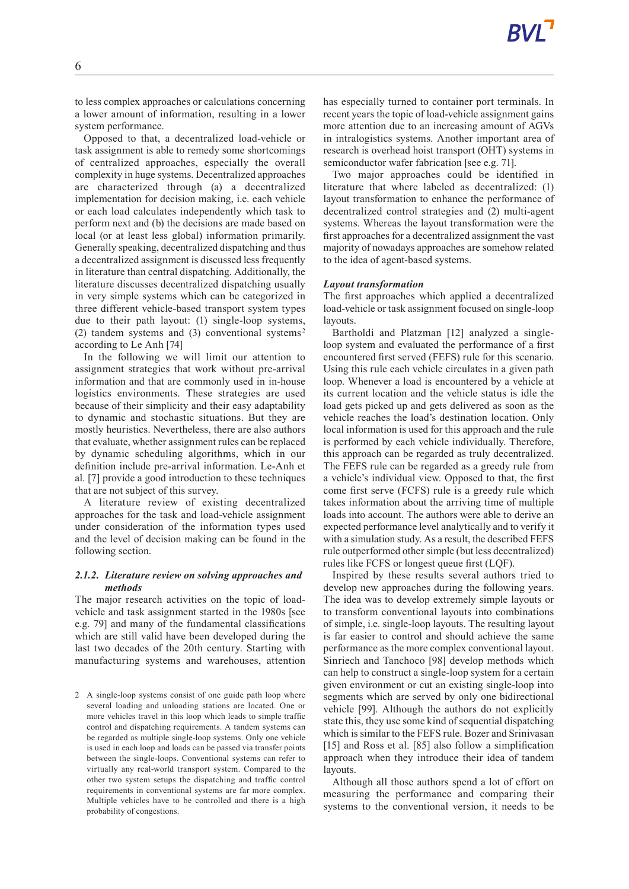to less complex approaches or calculations concerning a lower amount of information, resulting in a lower system performance.

Opposed to that, a decentralized load-vehicle or task assignment is able to remedy some shortcomings of centralized approaches, especially the overall complexity in huge systems. Decentralized approaches are characterized through (a) a decentralized implementation for decision making, i.e. each vehicle or each load calculates independently which task to perform next and (b) the decisions are made based on local (or at least less global) information primarily. Generally speaking, decentralized dispatching and thus a decentralized assignment is discussed less frequently in literature than central dispatching. Additionally, the literature discusses decentralized dispatching usually in very simple systems which can be categorized in three different vehicle-based transport system types due to their path layout: (1) single-loop systems, (2) tandem systems and (3) conventional systems 2 according to Le Anh [74]

In the following we will limit our attention to assignment strategies that work without pre-arrival information and that are commonly used in in-house logistics environments. These strategies are used because of their simplicity and their easy adaptability to dynamic and stochastic situations. But they are mostly heuristics. Nevertheless, there are also authors that evaluate, whether assignment rules can be replaced by dynamic scheduling algorithms, which in our definition include pre-arrival information. Le-Anh et al. [7] provide a good introduction to these techniques that are not subject of this survey.

A literature review of existing decentralized approaches for the task and load-vehicle assignment under consideration of the information types used and the level of decision making can be found in the following section.

# *2.1.2. Literature review on solving approaches and methods*

The major research activities on the topic of loadvehicle and task assignment started in the 1980s [see e.g. 79] and many of the fundamental classifications which are still valid have been developed during the last two decades of the 20th century. Starting with manufacturing systems and warehouses, attention

has especially turned to container port terminals. In recent years the topic of load-vehicle assignment gains more attention due to an increasing amount of AGVs in intralogistics systems. Another important area of research is overhead hoist transport (OHT) systems in semiconductor wafer fabrication [see e.g. 71].

Two major approaches could be identified in literature that where labeled as decentralized: (1) layout transformation to enhance the performance of decentralized control strategies and (2) multi-agent systems. Whereas the layout transformation were the first approaches for a decentralized assignment the vast majority of nowadays approaches are somehow related to the idea of agent-based systems.

#### *Layout transformation*

The first approaches which applied a decentralized load-vehicle or task assignment focused on single-loop **layouts** 

Bartholdi and Platzman [12] analyzed a singleloop system and evaluated the performance of a first encountered first served (FEFS) rule for this scenario. Using this rule each vehicle circulates in a given path loop. Whenever a load is encountered by a vehicle at its current location and the vehicle status is idle the load gets picked up and gets delivered as soon as the vehicle reaches the load's destination location. Only local information is used for this approach and the rule is performed by each vehicle individually. Therefore, this approach can be regarded as truly decentralized. The FEFS rule can be regarded as a greedy rule from a vehicle's individual view. Opposed to that, the first come first serve (FCFS) rule is a greedy rule which takes information about the arriving time of multiple loads into account. The authors were able to derive an expected performance level analytically and to verify it with a simulation study. As a result, the described FEFS rule outperformed other simple (but less decentralized) rules like FCFS or longest queue first (LQF).

Inspired by these results several authors tried to develop new approaches during the following years. The idea was to develop extremely simple layouts or to transform conventional layouts into combinations of simple, i.e. single-loop layouts. The resulting layout is far easier to control and should achieve the same performance as the more complex conventional layout. Sinriech and Tanchoco [98] develop methods which can help to construct a single-loop system for a certain given environment or cut an existing single-loop into segments which are served by only one bidirectional vehicle [99]. Although the authors do not explicitly state this, they use some kind of sequential dispatching which is similar to the FEFS rule. Bozer and Srinivasan [15] and Ross et al. [85] also follow a simplification approach when they introduce their idea of tandem layouts.

Although all those authors spend a lot of effort on measuring the performance and comparing their systems to the conventional version, it needs to be

<sup>2</sup> A single-loop systems consist of one guide path loop where several loading and unloading stations are located. One or more vehicles travel in this loop which leads to simple traffic control and dispatching requirements. A tandem systems can be regarded as multiple single-loop systems. Only one vehicle is used in each loop and loads can be passed via transfer points between the single-loops. Conventional systems can refer to virtually any real-world transport system. Compared to the other two system setups the dispatching and traffic control requirements in conventional systems are far more complex. Multiple vehicles have to be controlled and there is a high probability of congestions.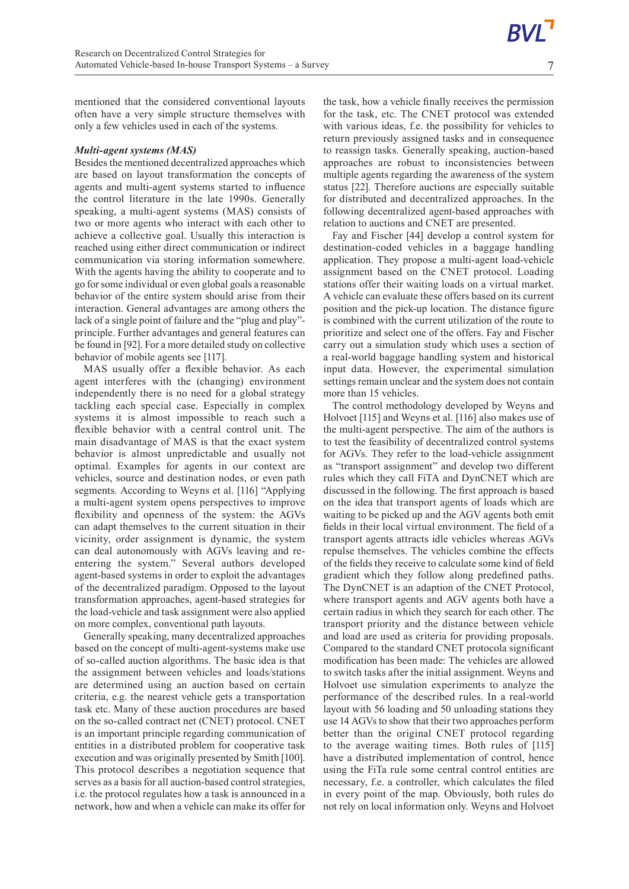7

mentioned that the considered conventional layouts often have a very simple structure themselves with only a few vehicles used in each of the systems.

#### *Multi-agent systems (MAS)*

Besides the mentioned decentralized approaches which are based on layout transformation the concepts of agents and multi-agent systems started to influence the control literature in the late 1990s. Generally speaking, a multi-agent systems (MAS) consists of two or more agents who interact with each other to achieve a collective goal. Usually this interaction is reached using either direct communication or indirect communication via storing information somewhere. With the agents having the ability to cooperate and to go for some individual or even global goals a reasonable behavior of the entire system should arise from their interaction. General advantages are among others the lack of a single point of failure and the "plug and play" principle. Further advantages and general features can be found in [92]. For a more detailed study on collective behavior of mobile agents see [117].

MAS usually offer a flexible behavior. As each agent interferes with the (changing) environment independently there is no need for a global strategy tackling each special case. Especially in complex systems it is almost impossible to reach such a flexible behavior with a central control unit. The main disadvantage of MAS is that the exact system behavior is almost unpredictable and usually not optimal. Examples for agents in our context are vehicles, source and destination nodes, or even path segments. According to Weyns et al. [116] "Applying a multi-agent system opens perspectives to improve flexibility and openness of the system: the AGVs can adapt themselves to the current situation in their vicinity, order assignment is dynamic, the system can deal autonomously with AGVs leaving and reentering the system." Several authors developed agent-based systems in order to exploit the advantages of the decentralized paradigm. Opposed to the layout transformation approaches, agent-based strategies for the load-vehicle and task assignment were also applied on more complex, conventional path layouts.

Generally speaking, many decentralized approaches based on the concept of multi-agent-systems make use of so-called auction algorithms. The basic idea is that the assignment between vehicles and loads/stations are determined using an auction based on certain criteria, e.g. the nearest vehicle gets a transportation task etc. Many of these auction procedures are based on the so-called contract net (CNET) protocol. CNET is an important principle regarding communication of entities in a distributed problem for cooperative task execution and was originally presented by Smith [100]. This protocol describes a negotiation sequence that serves as a basis for all auction-based control strategies, i.e. the protocol regulates how a task is announced in a network, how and when a vehicle can make its offer for

the task, how a vehicle finally receives the permission for the task, etc. The CNET protocol was extended with various ideas, f.e. the possibility for vehicles to return previously assigned tasks and in consequence to reassign tasks. Generally speaking, auction-based approaches are robust to inconsistencies between multiple agents regarding the awareness of the system status [22]. Therefore auctions are especially suitable for distributed and decentralized approaches. In the following decentralized agent-based approaches with relation to auctions and CNET are presented.

Fay and Fischer [44] develop a control system for destination-coded vehicles in a baggage handling application. They propose a multi-agent load-vehicle assignment based on the CNET protocol. Loading stations offer their waiting loads on a virtual market. A vehicle can evaluate these offers based on its current position and the pick-up location. The distance figure is combined with the current utilization of the route to prioritize and select one of the offers. Fay and Fischer carry out a simulation study which uses a section of a real-world baggage handling system and historical input data. However, the experimental simulation settings remain unclear and the system does not contain more than 15 vehicles.

The control methodology developed by Weyns and Holvoet [115] and Weyns et al. [116] also makes use of the multi-agent perspective. The aim of the authors is to test the feasibility of decentralized control systems for AGVs. They refer to the load-vehicle assignment as "transport assignment" and develop two different rules which they call FiTA and DynCNET which are discussed in the following. The first approach is based on the idea that transport agents of loads which are waiting to be picked up and the AGV agents both emit fields in their local virtual environment. The field of a transport agents attracts idle vehicles whereas AGVs repulse themselves. The vehicles combine the effects of the fields they receive to calculate some kind of field gradient which they follow along predefined paths. The DynCNET is an adaption of the CNET Protocol, where transport agents and AGV agents both have a certain radius in which they search for each other. The transport priority and the distance between vehicle and load are used as criteria for providing proposals. Compared to the standard CNET protocola significant modification has been made: The vehicles are allowed to switch tasks after the initial assignment. Weyns and Holvoet use simulation experiments to analyze the performance of the described rules. In a real-world layout with 56 loading and 50 unloading stations they use 14 AGVs to show that their two approaches perform better than the original CNET protocol regarding to the average waiting times. Both rules of [115] have a distributed implementation of control, hence using the FiTa rule some central control entities are necessary, f.e. a controller, which calculates the filed in every point of the map. Obviously, both rules do not rely on local information only. Weyns and Holvoet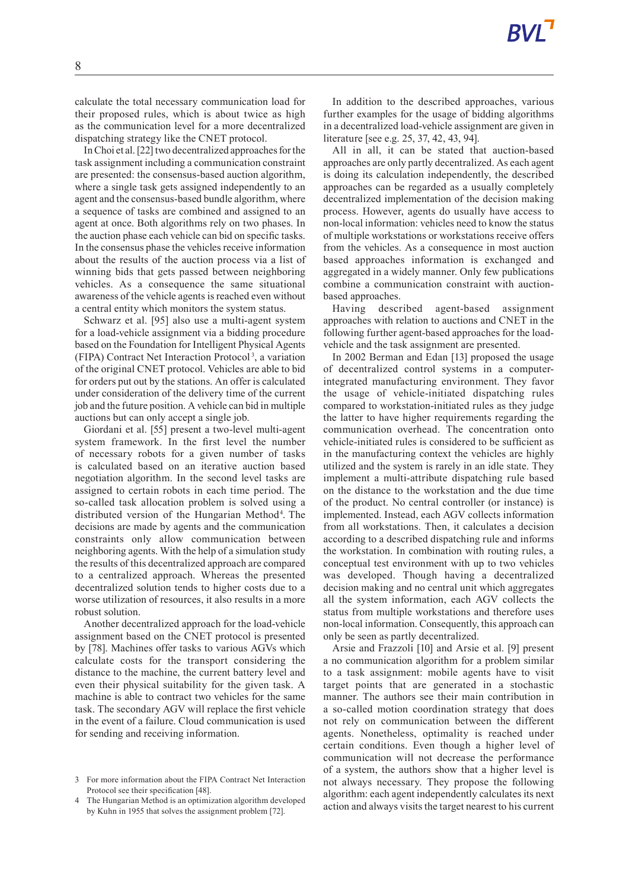calculate the total necessary communication load for their proposed rules, which is about twice as high as the communication level for a more decentralized dispatching strategy like the CNET protocol.

InChoi et al. [22] two decentralized approaches forthe task assignment including a communication constraint are presented: the consensus-based auction algorithm, where a single task gets assigned independently to an agent and the consensus-based bundle algorithm, where a sequence of tasks are combined and assigned to an agent at once. Both algorithms rely on two phases. In the auction phase each vehicle can bid on specific tasks. In the consensus phase the vehicles receive information about the results of the auction process via a list of winning bids that gets passed between neighboring vehicles. As a consequence the same situational awareness of the vehicle agents is reached even without a central entity which monitors the system status.

Schwarz et al. [95] also use a multi-agent system for a load-vehicle assignment via a bidding procedure based on the Foundation for Intelligent Physical Agents (FIPA) Contract Net Interaction Protocol<sup>3</sup>, a variation of the original CNET protocol. Vehicles are able to bid for orders put out by the stations. An offer is calculated under consideration of the delivery time of the current job and the future position. A vehicle can bid in multiple auctions but can only accept a single job.

Giordani et al. [55] present a two-level multi-agent system framework. In the first level the number of necessary robots for a given number of tasks is calculated based on an iterative auction based negotiation algorithm. In the second level tasks are assigned to certain robots in each time period. The so-called task allocation problem is solved using a distributed version of the Hungarian Method<sup>4</sup>. The decisions are made by agents and the communication constraints only allow communication between neighboring agents. With the help of a simulation study the results of this decentralized approach are compared to a centralized approach. Whereas the presented decentralized solution tends to higher costs due to a worse utilization of resources, it also results in a more robust solution.

Another decentralized approach for the load-vehicle assignment based on the CNET protocol is presented by [78]. Machines offer tasks to various AGVs which calculate costs for the transport considering the distance to the machine, the current battery level and even their physical suitability for the given task. A machine is able to contract two vehicles for the same task. The secondary AGV will replace the first vehicle in the event of a failure. Cloud communication is used for sending and receiving information.

In addition to the described approaches, various further examples for the usage of bidding algorithms in a decentralized load-vehicle assignment are given in literature [see e.g. 25, 37, 42, 43, 94].

All in all, it can be stated that auction-based approaches are only partly decentralized. As each agent is doing its calculation independently, the described approaches can be regarded as a usually completely decentralized implementation of the decision making process. However, agents do usually have access to non-local information: vehicles need to know the status of multiple workstations or workstations receive offers from the vehicles. As a consequence in most auction based approaches information is exchanged and aggregated in a widely manner. Only few publications combine a communication constraint with auctionbased approaches.

Having described agent-based assignment approaches with relation to auctions and CNET in the following further agent-based approaches for the loadvehicle and the task assignment are presented.

In 2002 Berman and Edan [13] proposed the usage of decentralized control systems in a computerintegrated manufacturing environment. They favor the usage of vehicle-initiated dispatching rules compared to workstation-initiated rules as they judge the latter to have higher requirements regarding the communication overhead. The concentration onto vehicle-initiated rules is considered to be sufficient as in the manufacturing context the vehicles are highly utilized and the system is rarely in an idle state. They implement a multi-attribute dispatching rule based on the distance to the workstation and the due time of the product. No central controller (or instance) is implemented. Instead, each AGV collects information from all workstations. Then, it calculates a decision according to a described dispatching rule and informs the workstation. In combination with routing rules, a conceptual test environment with up to two vehicles was developed. Though having a decentralized decision making and no central unit which aggregates all the system information, each AGV collects the status from multiple workstations and therefore uses non-local information. Consequently, this approach can only be seen as partly decentralized.

Arsie and Frazzoli [10] and Arsie et al. [9] present a no communication algorithm for a problem similar to a task assignment: mobile agents have to visit target points that are generated in a stochastic manner. The authors see their main contribution in a so-called motion coordination strategy that does not rely on communication between the different agents. Nonetheless, optimality is reached under certain conditions. Even though a higher level of communication will not decrease the performance of a system, the authors show that a higher level is not always necessary. They propose the following algorithm: each agent independently calculates its next action and always visits the target nearest to his current

<sup>3</sup> For more information about the FIPA Contract Net Interaction Protocol see their specification [48].

The Hungarian Method is an optimization algorithm developed by Kuhn in 1955 that solves the assignment problem [72].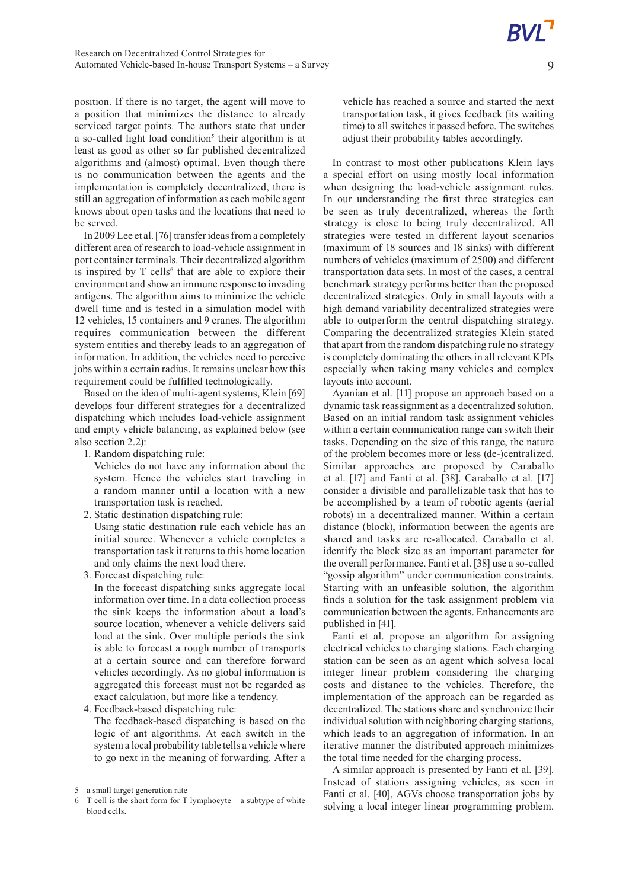position. If there is no target, the agent will move to a position that minimizes the distance to already serviced target points. The authors state that under a so-called light load condition<sup>5</sup> their algorithm is at least as good as other so far published decentralized algorithms and (almost) optimal. Even though there is no communication between the agents and the implementation is completely decentralized, there is still an aggregation of information as each mobile agent knows about open tasks and the locations that need to be served.

In 2009 Lee et al. [76] transfer ideas from a completely different area of research to load-vehicle assignment in port container terminals. Their decentralized algorithm is inspired by  $T$  cells<sup>6</sup> that are able to explore their environment and show an immune response to invading antigens. The algorithm aims to minimize the vehicle dwell time and is tested in a simulation model with 12 vehicles, 15 containers and 9 cranes. The algorithm requires communication between the different system entities and thereby leads to an aggregation of information. In addition, the vehicles need to perceive jobs within a certain radius. It remains unclear how this requirement could be fulfilled technologically.

Based on the idea of multi-agent systems, Klein [69] develops four different strategies for a decentralized dispatching which includes load-vehicle assignment and empty vehicle balancing, as explained below (see also section 2.2):

1. Random dispatching rule:

Vehicles do not have any information about the system. Hence the vehicles start traveling in a random manner until a location with a new transportation task is reached.

2. Static destination dispatching rule:

Using static destination rule each vehicle has an initial source. Whenever a vehicle completes a transportation task it returns to this home location and only claims the next load there.

3. Forecast dispatching rule:

In the forecast dispatching sinks aggregate local information over time. In a data collection process the sink keeps the information about a load's source location, whenever a vehicle delivers said load at the sink. Over multiple periods the sink is able to forecast a rough number of transports at a certain source and can therefore forward vehicles accordingly. As no global information is aggregated this forecast must not be regarded as exact calculation, but more like a tendency.

4. Feedback-based dispatching rule:

The feedback-based dispatching is based on the logic of ant algorithms. At each switch in the system a local probability table tells a vehicle where to go next in the meaning of forwarding. After a vehicle has reached a source and started the next transportation task, it gives feedback (its waiting time) to all switches it passed before. The switches adjust their probability tables accordingly.

In contrast to most other publications Klein lays a special effort on using mostly local information when designing the load-vehicle assignment rules. In our understanding the first three strategies can be seen as truly decentralized, whereas the forth strategy is close to being truly decentralized. All strategies were tested in different layout scenarios (maximum of 18 sources and 18 sinks) with different numbers of vehicles (maximum of 2500) and different transportation data sets. In most of the cases, a central benchmark strategy performs better than the proposed decentralized strategies. Only in small layouts with a high demand variability decentralized strategies were able to outperform the central dispatching strategy. Comparing the decentralized strategies Klein stated that apart from the random dispatching rule no strategy is completely dominating the others in all relevant KPIs especially when taking many vehicles and complex layouts into account.

Ayanian et al. [11] propose an approach based on a dynamic task reassignment as a decentralized solution. Based on an initial random task assignment vehicles within a certain communication range can switch their tasks. Depending on the size of this range, the nature of the problem becomes more or less (de-)centralized. Similar approaches are proposed by Caraballo et al. [17] and Fanti et al. [38]. Caraballo et al. [17] consider a divisible and parallelizable task that has to be accomplished by a team of robotic agents (aerial robots) in a decentralized manner. Within a certain distance (block), information between the agents are shared and tasks are re-allocated. Caraballo et al. identify the block size as an important parameter for the overall performance. Fanti et al. [38] use a so-called "gossip algorithm" under communication constraints. Starting with an unfeasible solution, the algorithm finds a solution for the task assignment problem via communication between the agents. Enhancements are published in [41].

Fanti et al. propose an algorithm for assigning electrical vehicles to charging stations. Each charging station can be seen as an agent which solvesa local integer linear problem considering the charging costs and distance to the vehicles. Therefore, the implementation of the approach can be regarded as decentralized. The stations share and synchronize their individual solution with neighboring charging stations, which leads to an aggregation of information. In an iterative manner the distributed approach minimizes the total time needed for the charging process.

A similar approach is presented by Fanti et al. [39]. Instead of stations assigning vehicles, as seen in Fanti et al. [40], AGVs choose transportation jobs by solving a local integer linear programming problem.

9

<sup>5</sup> a small target generation rate

 $6$  T cell is the short form for T lymphocyte – a subtype of white blood cells.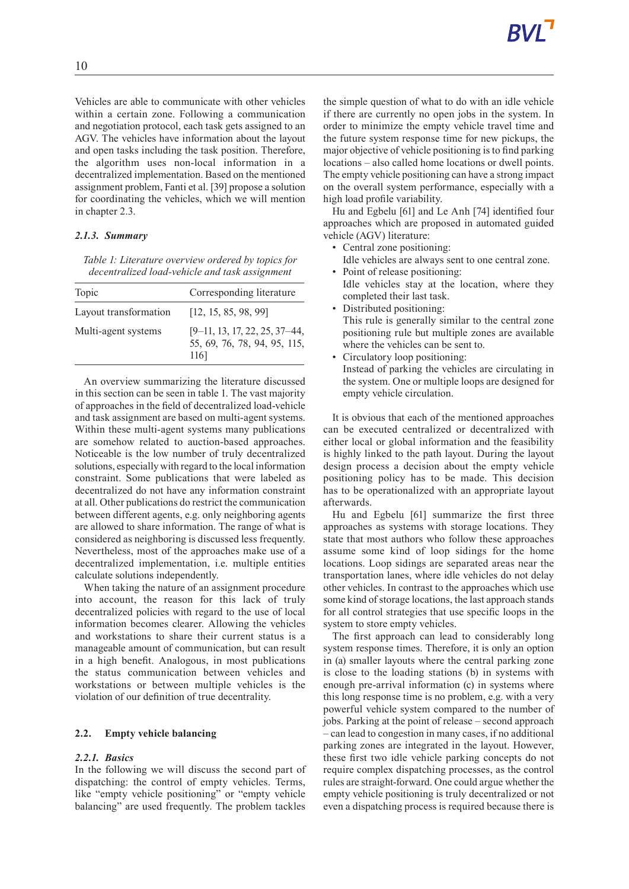Vehicles are able to communicate with other vehicles within a certain zone. Following a communication and negotiation protocol, each task gets assigned to an AGV. The vehicles have information about the layout and open tasks including the task position. Therefore, the algorithm uses non-local information in a decentralized implementation. Based on the mentioned assignment problem, Fanti et al. [39] propose a solution for coordinating the vehicles, which we will mention in chapter 2.3.

# *2.1.3. Summary*

*Table 1: Literature overview ordered by topics for decentralized load-vehicle and task assignment*

| Topic                 | Corresponding literature                                                |
|-----------------------|-------------------------------------------------------------------------|
| Layout transformation | [12, 15, 85, 98, 99]                                                    |
| Multi-agent systems   | $[9-11, 13, 17, 22, 25, 37-44,$<br>55, 69, 76, 78, 94, 95, 115,<br>1161 |

An overview summarizing the literature discussed in this section can be seen in table 1. The vast majority of approaches in the field of decentralized load-vehicle and task assignment are based on multi-agent systems. Within these multi-agent systems many publications are somehow related to auction-based approaches. Noticeable is the low number of truly decentralized solutions, especially with regard to the local information constraint. Some publications that were labeled as decentralized do not have any information constraint at all. Other publications do restrict the communication between different agents, e.g. only neighboring agents are allowed to share information. The range of what is considered as neighboring is discussed less frequently. Nevertheless, most of the approaches make use of a decentralized implementation, i.e. multiple entities calculate solutions independently.

When taking the nature of an assignment procedure into account, the reason for this lack of truly decentralized policies with regard to the use of local information becomes clearer. Allowing the vehicles and workstations to share their current status is a manageable amount of communication, but can result in a high benefit. Analogous, in most publications the status communication between vehicles and workstations or between multiple vehicles is the violation of our definition of true decentrality.

# **2.2. Empty vehicle balancing**

# *2.2.1. Basics*

In the following we will discuss the second part of dispatching: the control of empty vehicles. Terms, like "empty vehicle positioning" or "empty vehicle balancing" are used frequently. The problem tackles the simple question of what to do with an idle vehicle if there are currently no open jobs in the system. In order to minimize the empty vehicle travel time and the future system response time for new pickups, the major objective of vehicle positioning is to find parking locations–also called home locations or dwell points. The empty vehicle positioning can have a strong impact on the overall system performance, especially with a high load profile variability.

Hu and Egbelu [61] and Le Anh [74] identified four approaches which are proposed in automated guided vehicle (AGV) literature:

- Central zone positioning:
- Idle vehicles are always sent to one central zone. • Point of release positioning:
- Idle vehicles stay at the location, where they completed their last task.
- Distributed positioning: This rule is generally similar to the central zone positioning rule but multiple zones are available where the vehicles can be sent to.
- Circulatory loop positioning: Instead of parking the vehicles are circulating in the system. One or multiple loops are designed for empty vehicle circulation.

It is obvious that each of the mentioned approaches can be executed centralized or decentralized with either local or global information and the feasibility is highly linked to the path layout. During the layout design process a decision about the empty vehicle positioning policy has to be made. This decision has to be operationalized with an appropriate layout afterwards.

Hu and Egbelu [61] summarize the first three approaches as systems with storage locations. They state that most authors who follow these approaches assume some kind of loop sidings for the home locations. Loop sidings are separated areas near the transportation lanes, where idle vehicles do not delay other vehicles. In contrast to the approaches which use some kind of storage locations, the last approach stands for all control strategies that use specific loops in the system to store empty vehicles.

The first approach can lead to considerably long system response times. Therefore, it is only an option in (a) smaller layouts where the central parking zone is close to the loading stations (b) in systems with enough pre-arrival information (c) in systems where this long response time is no problem, e.g. with a very powerful vehicle system compared to the number of jobs. Parking at the point of release–second approach – can lead to congestion in many cases, if no additional parking zones are integrated in the layout. However, these first two idle vehicle parking concepts do not require complex dispatching processes, as the control rules are straight-forward. One could argue whether the empty vehicle positioning is truly decentralized or not even a dispatching process is required because there is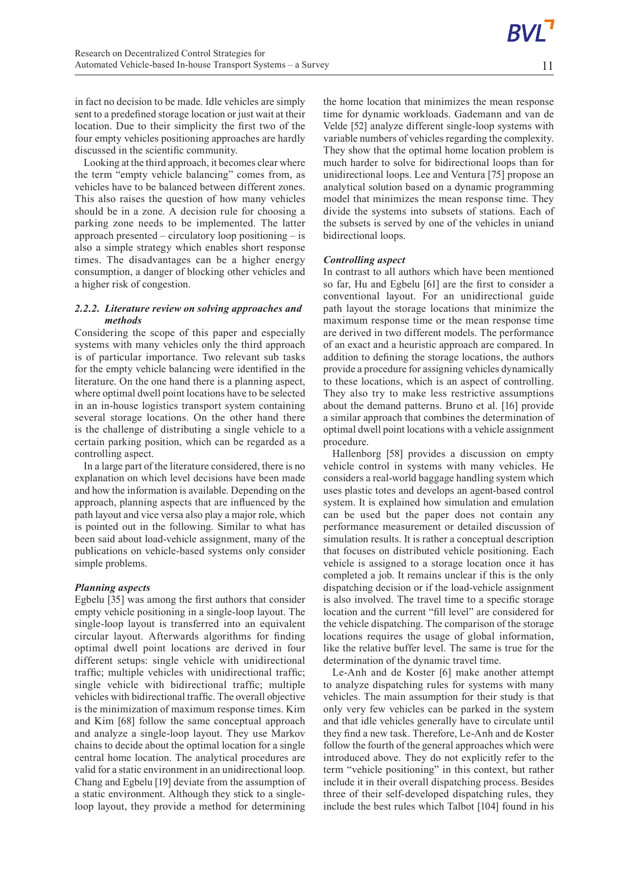11

in fact no decision to be made. Idle vehicles are simply sent to a predefined storage location or just wait at their location. Due to their simplicity the first two of the four empty vehicles positioning approaches are hardly discussed in the scientific community.

Looking at the third approach, it becomes clear where the term "empty vehicle balancing" comes from, as vehicles have to be balanced between different zones. This also raises the question of how many vehicles should be in a zone. A decision rule for choosing a parking zone needs to be implemented. The latter approach presented – circulatory loop positioning–is also a simple strategy which enables short response times. The disadvantages can be a higher energy consumption, a danger of blocking other vehicles and a higher risk of congestion.

## *2.2.2. Literature review on solving approaches and methods*

Considering the scope of this paper and especially systems with many vehicles only the third approach is of particular importance. Two relevant sub tasks for the empty vehicle balancing were identified in the literature. On the one hand there is a planning aspect, where optimal dwell point locations have to be selected in an in-house logistics transport system containing several storage locations. On the other hand there is the challenge of distributing a single vehicle to a certain parking position, which can be regarded as a controlling aspect.

In a large part of the literature considered, there is no explanation on which level decisions have been made and how the information is available. Depending on the approach, planning aspects that are influenced by the path layout and vice versa also playamajor role, which is pointed out in the following. Similar to what has been said about load-vehicle assignment, many of the publications on vehicle-based systems only consider simple problems.

## *Planning aspects*

Egbelu [35] was among the first authors that consider empty vehicle positioning in a single-loop layout. The single-loop layout is transferred into an equivalent circular layout. Afterwards algorithms for finding optimal dwell point locations are derived in four different setups: single vehicle with unidirectional traffic; multiple vehicles with unidirectional traffic; single vehicle with bidirectional traffic; multiple vehicles with bidirectional traffic. The overall objective is the minimization of maximum response times. Kim and Kim [68] follow the same conceptual approach and analyze a single-loop layout. They use Markov chains to decide about the optimal location for a single central home location. The analytical procedures are valid for a static environment in an unidirectional loop. Chang and Egbelu [19] deviate from the assumption of a static environment. Although they stick to a singleloop layout, they provide a method for determining the home location that minimizes the mean response time for dynamic workloads. Gademann and van de Velde [52] analyze different single-loop systems with variable numbers of vehicles regarding the complexity. They show that the optimal home location problem is much harder to solve for bidirectional loops than for unidirectional loops. Lee and Ventura [75] propose an analytical solution based on a dynamic programming model that minimizes the mean response time. They divide the systems into subsets of stations. Each of the subsets is served by one of the vehicles in uniand bidirectional loops.

# *Controlling aspect*

In contrast to all authors which have been mentioned so far, Hu and Egbelu [61] are the first to consider a conventional layout. For an unidirectional guide path layout the storage locations that minimize the maximum response time or the mean response time are derived in two different models. The performance of an exact and a heuristic approach are compared. In addition to defining the storage locations, the authors provide a procedure for assigning vehicles dynamically to these locations, which is an aspect of controlling. They also try to make less restrictive assumptions about the demand patterns. Bruno et al. [16] provide a similar approach that combines the determination of optimal dwell point locations with a vehicle assignment procedure.

Hallenborg [58] provides a discussion on empty vehicle control in systems with many vehicles. He considers a real-world baggage handling system which uses plastic totes and develops an agent-based control system. It is explained how simulation and emulation can be used but the paper does not contain any performance measurement or detailed discussion of simulation results. It is rather a conceptual description that focuses on distributed vehicle positioning. Each vehicle is assigned to a storage location once it has completed a job. It remains unclear if this is the only dispatching decision or if the load-vehicle assignment is also involved. The travel time to a specific storage location and the current "fill level" are considered for the vehicle dispatching. The comparison of the storage locations requires the usage of global information, like the relative buffer level. The same is true for the determination of the dynamic travel time.

Le-Anh and de Koster [6] make another attempt to analyze dispatching rules for systems with many vehicles. The main assumption for their study is that only very few vehicles can be parked in the system and that idle vehicles generally have to circulate until they find a new task. Therefore, Le-Anh and de Koster follow the fourth of the general approaches which were introduced above. They do not explicitly refer to the term "vehicle positioning" in this context, but rather include it in their overall dispatching process. Besides three of their self-developed dispatching rules, they include the best rules which Talbot [104] found in his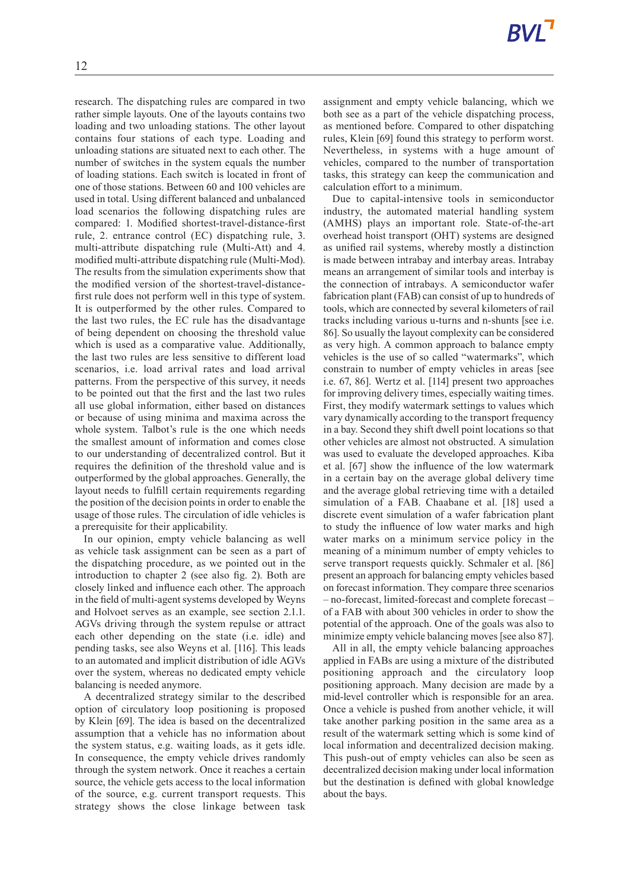assignment and empty vehicle balancing, which we both see as a part of the vehicle dispatching process, as mentioned before. Compared to other dispatching rules, Klein [69] found this strategy to perform worst. Nevertheless, in systems with a huge amount of

calculation effort to a minimum.

vehicles, compared to the number of transportation tasks, this strategy can keep the communication and

rather simple layouts. One of the layouts contains two loading and two unloading stations. The other layout contains four stations of each type. Loading and unloading stations are situated next to each other. The number of switches in the system equals the number of loading stations. Each switch is located in front of one of those stations. Between 60 and 100 vehicles are used in total. Using different balanced and unbalanced load scenarios the following dispatching rules are compared: 1. Modified shortest-travel-distance-first rule, 2. entrance control (EC) dispatching rule, 3. multi-attribute dispatching rule (Multi-Att) and 4. modified multi-attribute dispatching rule (Multi-Mod). The results from the simulation experiments show that the modified version of the shortest-travel-distancefirst rule does not perform well in this type of system. It is outperformed by the other rules. Compared to the last two rules, the EC rule has the disadvantage of being dependent on choosing the threshold value which is used as a comparative value. Additionally, the last two rules are less sensitive to different load scenarios, i.e. load arrival rates and load arrival patterns. From the perspective of this survey, it needs to be pointed out that the first and the last two rules all use global information, either based on distances or because of using minima and maxima across the whole system. Talbot's rule is the one which needs the smallest amount of information and comes close to our understanding of decentralized control. But it requires the definition of the threshold value and is outperformed by the global approaches. Generally, the layout needs to fulfill certain requirements regarding the position of the decision points in order to enable the usage of those rules. The circulation of idle vehicles is a prerequisite for their applicability.

research. The dispatching rules are compared in two

In our opinion, empty vehicle balancing as well as vehicle task assignment can be seen as a part of the dispatching procedure, as we pointed out in the introduction to chapter 2 (see also fig. 2). Both are closely linked and influence each other. The approach in the field of multi-agent systems developed by Weyns and Holvoet serves as an example, see section 2.1.1. AGVs driving through the system repulse or attract each other depending on the state (i.e. idle) and pending tasks, see also Weyns et al. [116]. This leads to an automated and implicit distribution of idle AGVs over the system, whereas no dedicated empty vehicle balancing is needed anymore.

A decentralized strategy similar to the described option of circulatory loop positioning is proposed by Klein [69]. The idea is based on the decentralized assumption that a vehicle has no information about the system status, e.g. waiting loads, as it gets idle. In consequence, the empty vehicle drives randomly through the system network. Once it reaches a certain source, the vehicle gets access to the local information of the source, e.g. current transport requests. This strategy shows the close linkage between task

Due to capital-intensive tools in semiconductor industry, the automated material handling system (AMHS) plays an important role. State-of-the-art overhead hoist transport (OHT) systems are designed as unified rail systems, whereby mostly a distinction is made between intrabay and interbay areas. Intrabay means an arrangement of similar tools and interbay is the connection of intrabays. A semiconductor wafer fabrication plant (FAB) can consist of up to hundreds of tools, which are connected by several kilometers of rail tracks including various u-turns and n-shunts [see i.e. 86]. So usually the layout complexity can be considered as very high. A common approach to balance empty vehicles is the use of so called "watermarks", which constrain to number of empty vehicles in areas [see i.e. 67, 86]. Wertz et al. [114] present two approaches for improving delivery times, especially waiting times. First, they modify watermark settings to values which vary dynamically according to the transport frequency in a bay. Second they shift dwell point locations so that other vehicles are almost not obstructed. A simulation was used to evaluate the developed approaches. Kiba et al. [67] show the influence of the low watermark in a certain bay on the average global delivery time and the average global retrieving time with a detailed simulation of a FAB. Chaabane et al. [18] used a discrete event simulation of a wafer fabrication plant to study the influence of low water marks and high water marks on a minimum service policy in the meaning of a minimum number of empty vehicles to serve transport requests quickly. Schmaler et al. [86] present an approach for balancing empty vehicles based on forecast information. They compare three scenarios – no-forecast, limited-forecast and complete forecast – of a FAB with about 300 vehicles in order to show the potential of the approach. One of the goals was also to minimize empty vehicle balancing moves [see also 87].

All in all, the empty vehicle balancing approaches applied in FABs are using a mixture of the distributed positioning approach and the circulatory loop positioning approach. Many decision are made by a mid-level controller which is responsible for an area. Once a vehicle is pushed from another vehicle, it will take another parking position in the same area as a result of the watermark setting which is some kind of local information and decentralized decision making. This push-out of empty vehicles can also be seen as decentralized decision making under local information but the destination is defined with global knowledge about the bays.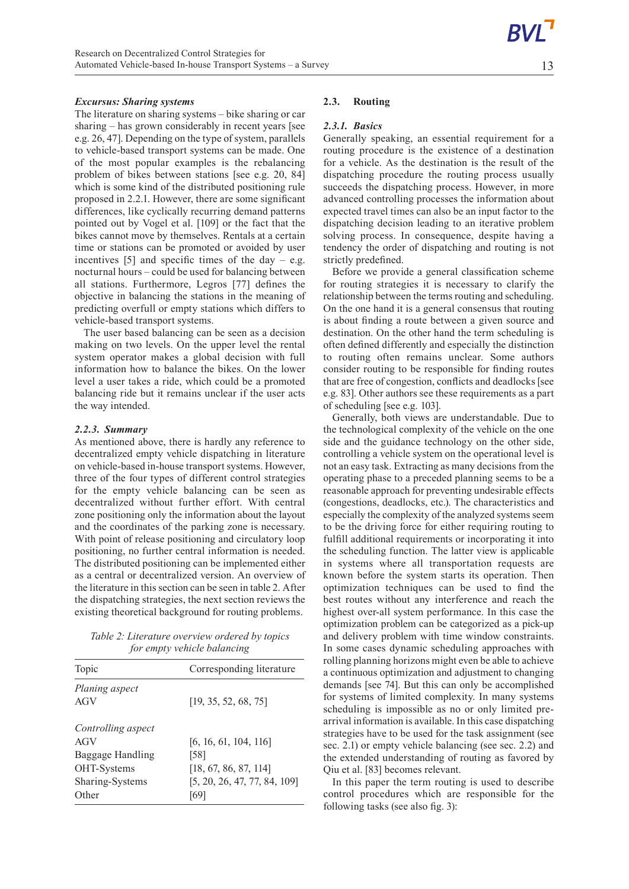13

## *Excursus: Sharing systems*

The literature on sharing systems–bike sharing or car sharing–has grown considerably in recent years [see e.g. 26, 47]. Depending on the type of system, parallels to vehicle-based transport systems can be made. One of the most popular examples is the rebalancing problem of bikes between stations [see e.g. 20, 84] which is some kind of the distributed positioning rule proposed in 2.2.1. However, there are some significant differences, like cyclically recurring demand patterns pointed out by Vogel et al. [109] or the fact that the bikes cannot move by themselves. Rentals at a certain time or stations can be promoted or avoided by user incentives  $[5]$  and specific times of the day – e.g. nocturnal hours – could be used for balancing between all stations. Furthermore, Legros [77] defines the objective in balancing the stations in the meaning of predicting overfull or empty stations which differs to vehicle-based transport systems.

The user based balancing can be seen as a decision making on two levels. On the upper level the rental system operator makes a global decision with full information how to balance the bikes. On the lower level a user takes a ride, which could be a promoted balancing ride but it remains unclear if the user acts the way intended.

#### *2.2.3. Summary*

As mentioned above, there is hardly any reference to decentralized empty vehicle dispatching in literature on vehicle-based in-house transport systems. However, three of the four types of different control strategies for the empty vehicle balancing can be seen as decentralized without further effort. With central zone positioning only the information about the layout and the coordinates of the parking zone is necessary. With point of release positioning and circulatory loop positioning, no further central information is needed. The distributed positioning can be implemented either as a central or decentralized version. An overview of the literature in this section can be seen in table 2. After the dispatching strategies, the next section reviews the existing theoretical background for routing problems.

*Table 2: Literature overview ordered by topics for empty vehicle balancing*

| Topic                                                                                    | Corresponding literature                                                                       |
|------------------------------------------------------------------------------------------|------------------------------------------------------------------------------------------------|
| Planing aspect<br>AGV                                                                    | [19, 35, 52, 68, 75]                                                                           |
| Controlling aspect<br>AGV<br>Baggage Handling<br>OHT-Systems<br>Sharing-Systems<br>Other | [6, 16, 61, 104, 116]<br>[58]<br>[18, 67, 86, 87, 114]<br>[5, 20, 26, 47, 77, 84, 109]<br>[69] |

## **2.3. Routing**

#### *2.3.1. Basics*

Generally speaking, an essential requirement for a routing procedure is the existence of a destination for a vehicle. As the destination is the result of the dispatching procedure the routing process usually succeeds the dispatching process. However, in more advanced controlling processes the information about expected travel times can also be an input factor to the dispatching decision leading to an iterative problem solving process. In consequence, despite having a tendency the order of dispatching and routing is not strictly predefined.

Before we provide a general classification scheme for routing strategies it is necessary to clarify the relationship between the terms routing and scheduling. On the one hand it is a general consensus that routing is about finding a route between a given source and destination. On the other hand the term scheduling is often defined differently and especially the distinction to routing often remains unclear. Some authors consider routing to be responsible for finding routes that are free of congestion, conflicts and deadlocks [see e.g. 83]. Other authors see these requirements as a part of scheduling [see e.g. 103].

Generally, both views are understandable. Due to the technological complexity of the vehicle on the one side and the guidance technology on the other side, controlling a vehicle system on the operational level is not an easy task. Extracting as many decisions from the operating phase to a preceded planning seems to be a reasonable approach for preventing undesirable effects (congestions, deadlocks, etc.). The characteristics and especially the complexity of the analyzed systems seem to be the driving force for either requiring routing to fulfill additional requirements or incorporating it into the scheduling function. The latter view is applicable in systems where all transportation requests are known before the system starts its operation. Then optimization techniques can be used to find the best routes without any interference and reach the highest over-all system performance. In this case the optimization problem can be categorized as a pick-up and delivery problem with time window constraints. In some cases dynamic scheduling approaches with rolling planning horizons might even be able to achieve a continuous optimization and adjustment to changing demands [see 74]. But this can only be accomplished for systems of limited complexity. In many systems scheduling is impossible as no or only limited prearrival information is available. In this case dispatching strategies have to be used for the task assignment (see sec. 2.1) or empty vehicle balancing (see sec. 2.2) and the extended understanding of routing as favored by Qiu et al. [83] becomes relevant.

In this paper the term routing is used to describe control procedures which are responsible for the following tasks (see also fig. 3):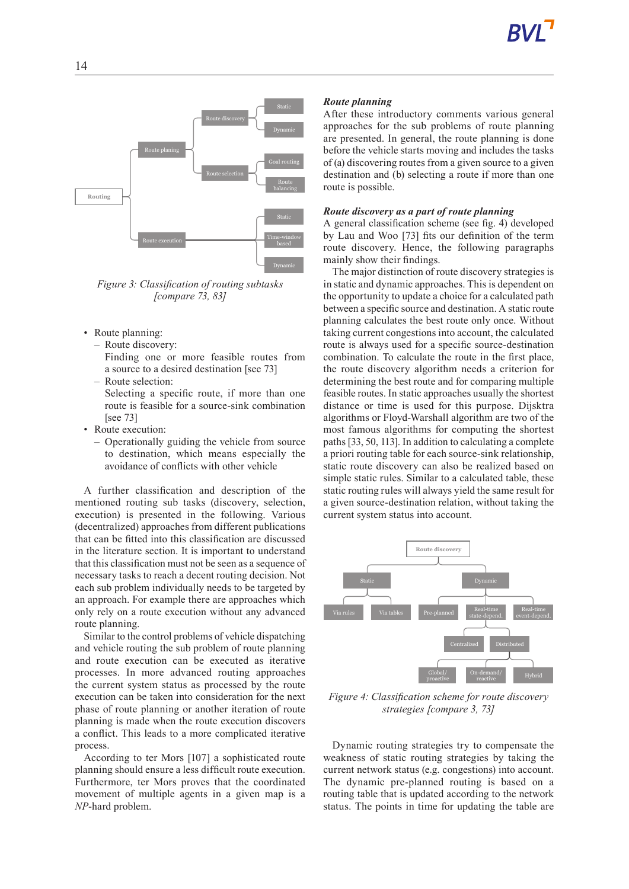

*Figure 3: Classification of routing subtasks [compare 73, 83]*

- Route planning:
	- Route discovery:
		- Finding one or more feasible routes from a source to a desired destination [see 73]
	- Route selection: Selecting a specific route, if more than one route is feasible for a source-sink combination [see 73]
- Route execution:
	- Operationally guiding the vehicle from source to destination, which means especially the avoidance of conflicts with other vehicle

A further classification and description of the mentioned routing sub tasks (discovery, selection, execution) is presented in the following. Various (decentralized) approaches from different publications that can be fitted into this classification are discussed in the literature section. It is important to understand that this classification must not be seen as a sequence of necessary tasks to reach a decent routing decision. Not each sub problem individually needs to be targeted by an approach. For example there are approaches which only rely on a route execution without any advanced route planning.

Similar to the control problems of vehicle dispatching and vehicle routing the sub problem of route planning and route execution can be executed as iterative processes. In more advanced routing approaches the current system status as processed by the route execution can be taken into consideration for the next phase of route planning or another iteration of route planning is made when the route execution discovers a conflict. This leads to a more complicated iterative process.

According to ter Mors [107] a sophisticated route planning should ensure a less difficult route execution. Furthermore, ter Mors proves that the coordinated movement of multiple agents in a given map is a *NP*-hard problem.

# *Route planning*

After these introductory comments various general approaches for the sub problems of route planning are presented. In general, the route planning is done before the vehicle starts moving and includes the tasks of (a) discovering routes from a given source to a given destination and (b) selecting a route if more than one route is possible.

# *Route discovery asapart of route planning*

A general classification scheme (see fig. 4) developed by Lau and Woo [73] fits our definition of the term route discovery. Hence, the following paragraphs mainly show their findings.

The major distinction of route discovery strategies is in static and dynamic approaches. This is dependent on the opportunity to update a choice for a calculated path between a specific source and destination. A static route planning calculates the best route only once. Without taking current congestions into account, the calculated route is always used for a specific source-destination combination. To calculate the route in the first place, the route discovery algorithm needs a criterion for determining the best route and for comparing multiple feasible routes. In static approaches usually the shortest distance or time is used for this purpose. Dijsktra algorithms or Floyd-Warshall algorithm are two of the most famous algorithms for computing the shortest paths [33, 50, 113]. In addition to calculating a complete a priori routing table for each source-sink relationship, static route discovery can also be realized based on simple static rules. Similar to a calculated table, these static routing rules will always yield the same result for a given source-destination relation, without taking the current system status into account.



*Figure 4: Classification scheme for route discovery strategies [compare 3, 73]*

Dynamic routing strategies try to compensate the weakness of static routing strategies by taking the current network status (e.g. congestions) into account. The dynamic pre-planned routing is based on a routing table that is updated according to the network status. The points in time for updating the table are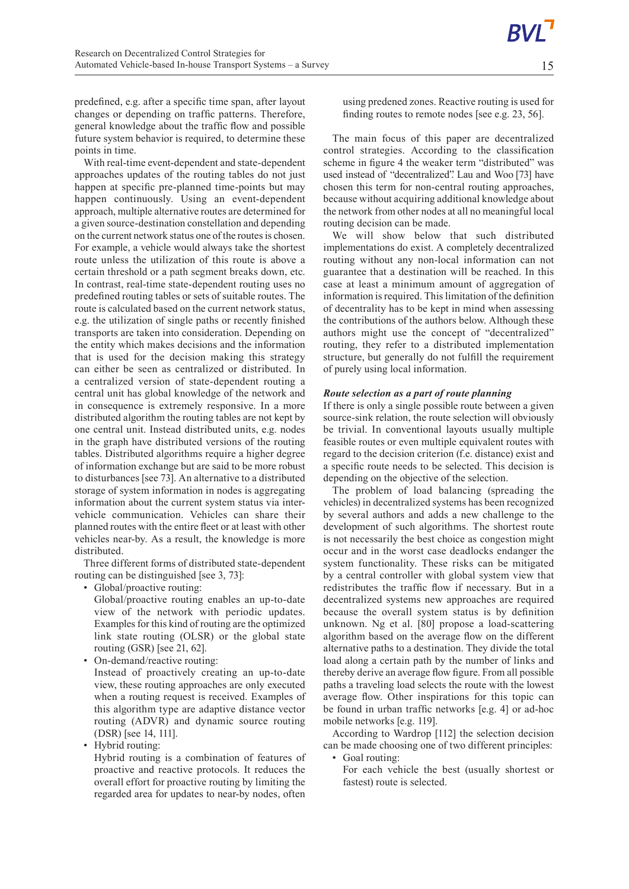predefined, e.g. after a specific time span, after layout changes or depending on traffic patterns. Therefore, general knowledge about the traffic flow and possible future system behavior is required, to determine these points in time.

With real-time event-dependent and state-dependent approaches updates of the routing tables do not just happen at specific pre-planned time-points but may happen continuously. Using an event-dependent approach, multiple alternative routes are determined for a given source-destination constellation and depending on the current network status one of the routes is chosen. For example, a vehicle would always take the shortest route unless the utilization of this route is above a certain threshold or a path segment breaks down, etc. In contrast, real-time state-dependent routing uses no predefined routing tables or sets of suitable routes. The route is calculated based on the current network status, e.g. the utilization of single paths or recently finished transports are taken into consideration. Depending on the entity which makes decisions and the information that is used for the decision making this strategy can either be seen as centralized or distributed. In a centralized version of state-dependent routing a central unit has global knowledge of the network and in consequence is extremely responsive. In a more distributed algorithm the routing tables are not kept by one central unit. Instead distributed units, e.g. nodes in the graph have distributed versions of the routing tables. Distributed algorithms require a higher degree of information exchange but are said to be more robust to disturbances [see 73]. An alternative to a distributed storage of system information in nodes is aggregating information about the current system status via intervehicle communication. Vehicles can share their planned routes with the entire fleet or at least with other vehicles near-by. As a result, the knowledge is more distributed.

Three different forms of distributed state-dependent routing can be distinguished [see 3, 73]:

• Global/proactive routing:

Global/proactive routing enables an up-to-date view of the network with periodic updates. Examples for this kind of routing are the optimized link state routing (OLSR) or the global state routing (GSR) [see 21, 62].

• On-demand/reactive routing:

Instead of proactively creating an up-to-date view, these routing approaches are only executed when a routing request is received. Examples of this algorithm type are adaptive distance vector routing (ADVR) and dynamic source routing (DSR) [see 14, 111].

• Hybrid routing:

Hybrid routing is a combination of features of proactive and reactive protocols. It reduces the overall effort for proactive routing by limiting the regarded area for updates to near-by nodes, often using predened zones. Reactive routing is used for finding routes to remote nodes [see e.g. 23, 56].

The main focus of this paper are decentralized control strategies. According to the classification scheme in figure 4 the weaker term "distributed" was used instead of "decentralized". Lau and Woo [73] have chosen this term for non-central routing approaches, because without acquiring additional knowledge about the network from other nodes at all no meaningful local routing decision can be made.

We will show below that such distributed implementations do exist. A completely decentralized routing without any non-local information can not guarantee that a destination will be reached. In this case at least a minimum amount of aggregation of information is required. This limitation of the definition of decentrality has to be kept in mind when assessing the contributions of the authors below. Although these authors might use the concept of "decentralized" routing, they refer to a distributed implementation structure, but generally do not fulfill the requirement of purely using local information.

#### *Route selection asapart of route planning*

If there is only a single possible route between a given source-sink relation, the route selection will obviously be trivial. In conventional layouts usually multiple feasible routes or even multiple equivalent routes with regard to the decision criterion (f.e. distance) exist and a specific route needs to be selected. This decision is depending on the objective of the selection.

The problem of load balancing (spreading the vehicles) in decentralized systems has been recognized by several authors and adds a new challenge to the development of such algorithms. The shortest route is not necessarily the best choice as congestion might occur and in the worst case deadlocks endanger the system functionality. These risks can be mitigated by a central controller with global system view that redistributes the traffic flow if necessary. But in a decentralized systems new approaches are required because the overall system status is by definition unknown. Ng et al. [80] propose a load-scattering algorithm based on the average flow on the different alternative paths to a destination. They divide the total load along a certain path by the number of links and thereby derive an average flow figure. From all possible paths a traveling load selects the route with the lowest average flow. Other inspirations for this topic can be found in urban traffic networks [e.g. 4] or ad-hoc mobile networks [e.g. 119].

According to Wardrop [112] the selection decision can be made choosing one of two different principles: • Goal routing:

For each vehicle the best (usually shortest or fastest) route is selected.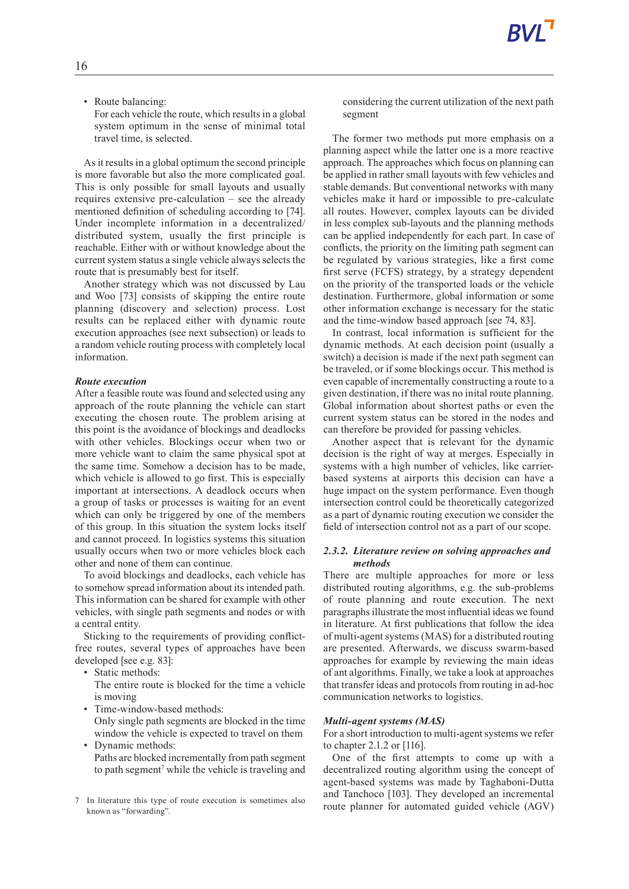• Route balancing:

For each vehicle the route, which results in a global system optimum in the sense of minimal total travel time, is selected.

As it results in a global optimum the second principle is more favorable but also the more complicated goal. This is only possible for small layouts and usually requires extensive pre-calculation–see the already mentioned definition of scheduling according to [74]. Under incomplete information in a decentralized/ distributed system, usually the first principle is reachable. Either with or without knowledge about the current system status a single vehicle always selects the route that is presumably best for itself.

Another strategy which was not discussed by Lau and Woo [73] consists of skipping the entire route planning (discovery and selection) process. Lost results can be replaced either with dynamic route execution approaches (see next subsection) or leads to a random vehicle routing process with completely local information.

#### *Route execution*

After a feasible route was found and selected using any approach of the route planning the vehicle can start executing the chosen route. The problem arising at this point is the avoidance of blockings and deadlocks with other vehicles. Blockings occur when two or more vehicle want to claim the same physical spot at the same time. Somehow a decision has to be made, which vehicle is allowed to go first. This is especially important at intersections. A deadlock occurs when a group of tasks or processes is waiting for an event which can only be triggered by one of the members of this group. In this situation the system locks itself and cannot proceed. In logistics systems this situation usually occurs when two or more vehicles block each other and none of them can continue.

To avoid blockings and deadlocks, each vehicle has to somehow spread information about its intended path. This information can be shared for example with other vehicles, with single path segments and nodes or with a central entity.

Sticking to the requirements of providing conflictfree routes, several types of approaches have been developed [see e.g. 83]:

- Static methods:
- The entire route is blocked for the time a vehicle is moving
- Time-window-based methods: Only single path segments are blocked in the time
- window the vehicle is expected to travel on them • Dynamic methods:
- Paths are blocked incrementally from path segment to path segment <sup>7</sup> while the vehicle is traveling and
- 7 In literature this type of route execution is sometimes also known as "forwarding".

considering the current utilization of the next path segment

The former two methods put more emphasis on a planning aspect while the latter one is a more reactive approach. The approaches which focus on planning can be applied in rather small layouts with few vehicles and stable demands. But conventional networks with many vehicles make it hard or impossible to pre-calculate all routes. However, complex layouts can be divided in less complex sub-layouts and the planning methods can be applied independently for each part. In case of conflicts, the priority on the limiting path segment can be regulated by various strategies, like a first come first serve (FCFS) strategy, by a strategy dependent on the priority of the transported loads or the vehicle destination. Furthermore, global information or some other information exchange is necessary for the static and the time-window based approach [see 74, 83].

In contrast, local information is sufficient for the dynamic methods. At each decision point (usually a switch) a decision is made if the next path segment can be traveled, or if some blockings occur. This method is even capable of incrementally constructing a route to a given destination, if there was no inital route planning. Global information about shortest paths or even the current system status can be stored in the nodes and can therefore be provided for passing vehicles.

Another aspect that is relevant for the dynamic decision is the right of way at merges. Especially in systems with a high number of vehicles, like carrierbased systems at airports this decision can have a huge impact on the system performance. Even though intersection control could be theoretically categorized as a part of dynamic routing execution we consider the field of intersection control not as a part of our scope.

#### *2.3.2. Literature review on solving approaches and methods*

There are multiple approaches for more or less distributed routing algorithms, e.g. the sub-problems of route planning and route execution. The next paragraphsillustrate the most influential ideas we found in literature. At first publications that follow the idea of multi-agent systems (MAS) for a distributed routing are presented. Afterwards, we discuss swarm-based approaches for example by reviewing the main ideas of ant algorithms.Finally, we take a look at approaches that transfer ideas and protocols from routing in ad-hoc communication networks to logistics.

#### *Multi-agent systems (MAS)*

For a short introduction to multi-agent systems we refer to chapter 2.1.2 or [116].

One of the first attempts to come up with a decentralized routing algorithm using the concept of agent-based systems was made by Taghaboni-Dutta and Tanchoco [103]. They developed an incremental route planner for automated guided vehicle (AGV)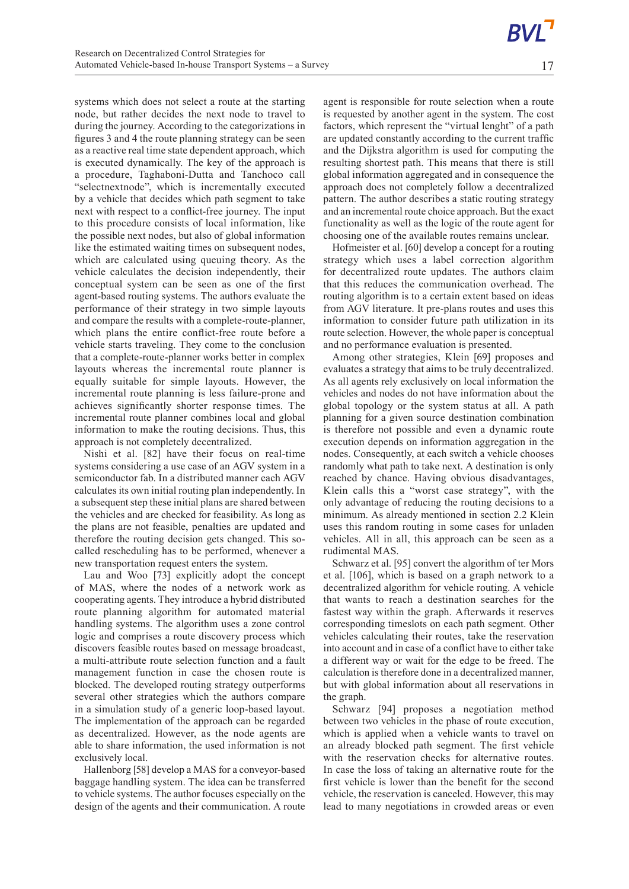systems which does not select a route at the starting node, but rather decides the next node to travel to during the journey. According to the categorizations in figures 3 and 4 the route planning strategy can be seen as a reactive real time state dependent approach, which is executed dynamically. The key of the approach is a procedure, Taghaboni-Dutta and Tanchoco call "selectnextnode", which is incrementally executed by a vehicle that decides which path segment to take next with respect to a conflict-free journey. The input to this procedure consists of local information, like the possible next nodes, but also of global information like the estimated waiting times on subsequent nodes, which are calculated using queuing theory. As the vehicle calculates the decision independently, their conceptual system can be seen as one of the first agent-based routing systems. The authors evaluate the performance of their strategy in two simple layouts and compare the results with a complete-route-planner, which plans the entire conflict-free route before a vehicle starts traveling. They come to the conclusion that a complete-route-planner works better in complex layouts whereas the incremental route planner is equally suitable for simple layouts. However, the incremental route planning is less failure-prone and achieves significantly shorter response times. The incremental route planner combines local and global information to make the routing decisions. Thus, this approach is not completely decentralized.

Nishi et al. [82] have their focus on real-time systems considering a use case of an AGV system in a semiconductor fab. In a distributed manner each AGV calculates its own initial routing plan independently. In a subsequent step these initial plans are shared between the vehicles and are checked for feasibility. As long as the plans are not feasible, penalties are updated and therefore the routing decision gets changed. This socalled rescheduling has to be performed, whenever a new transportation request enters the system.

Lau and Woo [73] explicitly adopt the concept of MAS, where the nodes of a network work as cooperating agents. They introduce a hybrid distributed route planning algorithm for automated material handling systems. The algorithm uses a zone control logic and comprises a route discovery process which discovers feasible routes based on message broadcast, a multi-attribute route selection function and a fault management function in case the chosen route is blocked. The developed routing strategy outperforms several other strategies which the authors compare in a simulation study of a generic loop-based layout. The implementation of the approach can be regarded as decentralized. However, as the node agents are able to share information, the used information is not exclusively local.

Hallenborg [58] develop a MAS for a conveyor-based baggage handling system. The idea can be transferred to vehicle systems. The author focuses especially on the design of the agents and their communication. A route

agent is responsible for route selection when a route is requested by another agent in the system. The cost factors, which represent the "virtual lenght" of a path are updated constantly according to the current traffic and the Dijkstra algorithm is used for computing the resulting shortest path. This means that there is still global information aggregated and in consequence the approach does not completely follow a decentralized pattern. The author describes a static routing strategy and an incremental route choice approach. But the exact functionality as well as the logic of the route agent for choosing one of the available routes remains unclear.

Hofmeister et al. [60] develop a concept for a routing strategy which uses a label correction algorithm for decentralized route updates. The authors claim that this reduces the communication overhead. The routing algorithm is to a certain extent based on ideas from AGV literature. It pre-plans routes and uses this information to consider future path utilization in its route selection. However, the whole paper is conceptual and no performance evaluation is presented.

Among other strategies, Klein [69] proposes and evaluates a strategy that aims to be truly decentralized. As all agents rely exclusively on local information the vehicles and nodes do not have information about the global topology or the system status at all. A path planning for a given source destination combination is therefore not possible and even a dynamic route execution depends on information aggregation in the nodes. Consequently, at each switch a vehicle chooses randomly what path to take next. A destination is only reached by chance. Having obvious disadvantages, Klein calls this a "worst case strategy", with the only advantage of reducing the routing decisions to a minimum. As already mentioned in section 2.2 Klein uses this random routing in some cases for unladen vehicles. All in all, this approach can be seen as a rudimental MAS.

Schwarz et al. [95] convert the algorithm of ter Mors et al. [106], which is based on a graph network to a decentralized algorithm for vehicle routing. A vehicle that wants to reach a destination searches for the fastest way within the graph. Afterwards it reserves corresponding timeslots on each path segment. Other vehicles calculating their routes, take the reservation into account and in case of a conflict have to either take a different way or wait for the edge to be freed. The calculation is therefore done in a decentralized manner, but with global information about all reservations in the graph.

Schwarz [94] proposes a negotiation method between two vehicles in the phase of route execution, which is applied when a vehicle wants to travel on an already blocked path segment. The first vehicle with the reservation checks for alternative routes. In case the loss of taking an alternative route for the first vehicle is lower than the benefit for the second vehicle, the reservation is canceled. However, this may lead to many negotiations in crowded areas or even

17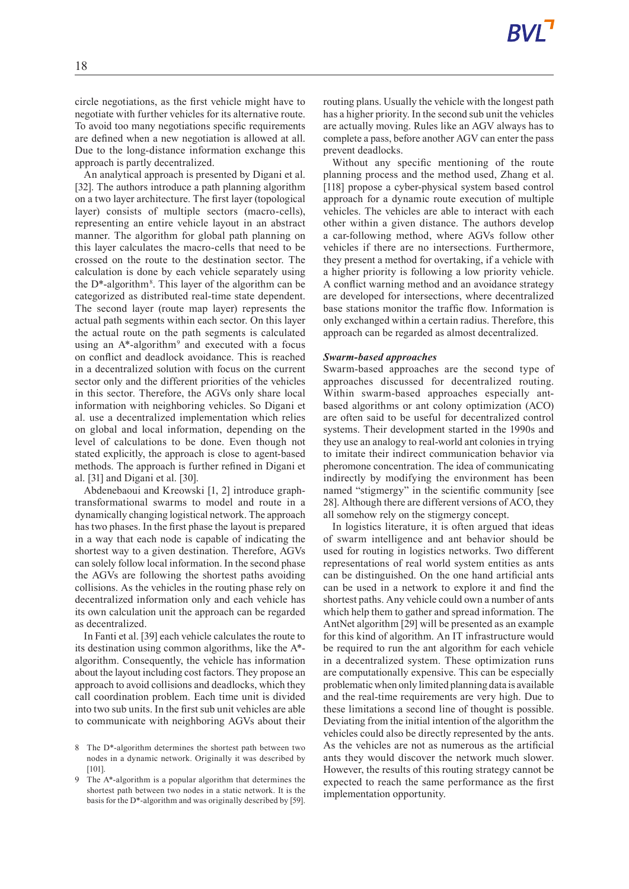circle negotiations, as the first vehicle might have to negotiate with further vehicles for its alternative route. To avoid too many negotiations specific requirements are defined when a new negotiation is allowed at all. Due to the long-distance information exchange this approach is partly decentralized.

An analytical approach is presented by Digani et al. [32]. The authors introduce a path planning algorithm on a two layer architecture. The first layer (topological layer) consists of multiple sectors (macro-cells), representing an entire vehicle layout in an abstract manner. The algorithm for global path planning on this layer calculates the macro-cells that need to be crossed on the route to the destination sector. The calculation is done by each vehicle separately using the D\*-algorithm<sup>8</sup> . This layer of the algorithm can be categorized as distributed real-time state dependent. The second layer (route map layer) represents the actual path segments within each sector. On this layer the actual route on the path segments is calculated using an A\*-algorithm<sup>9</sup> and executed with a focus on conflict and deadlock avoidance. This is reached in a decentralized solution with focus on the current sector only and the different priorities of the vehicles in this sector. Therefore, the AGVs only share local information with neighboring vehicles. So Digani et al. use a decentralized implementation which relies on global and local information, depending on the level of calculations to be done. Even though not stated explicitly, the approach is close to agent-based methods. The approach is further refined in Digani et al. [31] and Digani et al. [30].

Abdenebaoui and Kreowski [1, 2] introduce graphtransformational swarms to model and route in a dynamically changing logistical network. The approach has two phases. In the first phase the layout is prepared in a way that each node is capable of indicating the shortest way to a given destination. Therefore, AGVs can solely follow local information. In the second phase the AGVs are following the shortest paths avoiding collisions. As the vehicles in the routing phase rely on decentralized information only and each vehicle has its own calculation unit the approach can be regarded as decentralized.

InFanti et al. [39] each vehicle calculates the route to its destination using common algorithms, like the A\* algorithm. Consequently, the vehicle has information about the layout including cost factors. They propose an approach to avoid collisions and deadlocks, which they call coordination problem. Each time unit is divided into two sub units. In the first sub unit vehicles are able to communicate with neighboring AGVs about their

- 8 The D\*-algorithm determines the shortest path between two nodes in a dynamic network. Originally it was described by [101].
- 9 The A\*-algorithm is a popular algorithm that determines the shortest path between two nodes in a static network. It is the basis for the D\*-algorithm and was originally described by [59].

routing plans. Usually the vehicle with the longest path has a higher priority. In the second sub unit the vehicles are actually moving. Rules like an AGV always has to complete a pass, before another AGV can enter the pass prevent deadlocks.

Without any specific mentioning of the route planning process and the method used, Zhang et al. [118] propose a cyber-physical system based control approach for a dynamic route execution of multiple vehicles. The vehicles are able to interact with each other within a given distance. The authors develop a car-following method, where AGVs follow other vehicles if there are no intersections. Furthermore, they present a method for overtaking, if a vehicle with a higher priority is following a low priority vehicle. A conflict warning method and an avoidance strategy are developed for intersections, where decentralized base stations monitor the traffic flow. Information is only exchanged within a certain radius. Therefore, this approach can be regarded as almost decentralized.

#### *Swarm-based approaches*

Swarm-based approaches are the second type of approaches discussed for decentralized routing. Within swarm-based approaches especially antbased algorithms or ant colony optimization (ACO) are often said to be useful for decentralized control systems. Their development started in the 1990s and they use an analogy to real-world ant colonies in trying to imitate their indirect communication behavior via pheromone concentration. The idea of communicating indirectly by modifying the environment has been named "stigmergy" in the scientific community [see 28]. Although there are different versions of ACO, they all somehow rely on the stigmergy concept.

In logistics literature, it is often argued that ideas of swarm intelligence and ant behavior should be used for routing in logistics networks. Two different representations of real world system entities as ants can be distinguished. On the one hand artificial ants can be used in a network to explore it and find the shortest paths. Any vehicle could own a number of ants which help them to gather and spread information. The AntNet algorithm [29] will be presented as an example for this kind of algorithm. An IT infrastructure would be required to run the ant algorithm for each vehicle in a decentralized system. These optimization runs are computationally expensive. This can be especially problematic when only limited planning data is available and the real-time requirements are very high. Due to these limitations a second line of thought is possible. Deviating from the initial intention of the algorithm the vehicles could also be directly represented by the ants. As the vehicles are not as numerous as the artificial ants they would discover the network much slower. However, the results of this routing strategy cannot be expected to reach the same performance as the first implementation opportunity.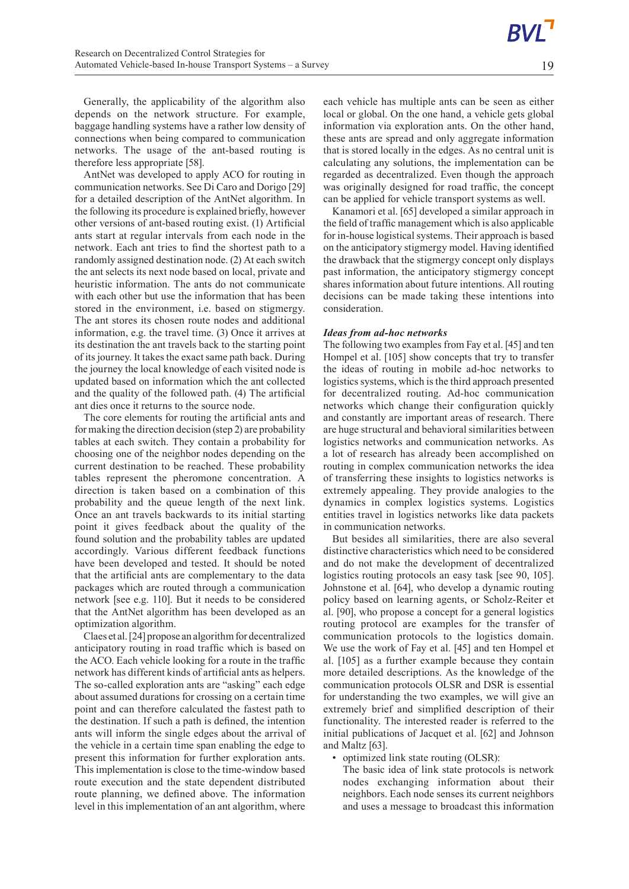Generally, the applicability of the algorithm also depends on the network structure. For example, baggage handling systems have a rather low density of connections when being compared to communication networks. The usage of the ant-based routing is therefore less appropriate [58].

AntNet was developed to apply ACO for routing in communication networks.See Di Caro and Dorigo [29] for a detailed description of the AntNet algorithm. In the following its procedure is explained briefly, however other versions of ant-based routing exist. (1) Artificial ants start at regular intervals from each node in the network. Each ant tries to find the shortest path to a randomly assigned destination node. (2) At each switch the ant selects its next node based on local, private and heuristic information. The ants do not communicate with each other but use the information that has been stored in the environment, i.e. based on stigmergy. The ant stores its chosen route nodes and additional information, e.g. the travel time. (3) Once it arrives at its destination the ant travels back to the starting point of its journey. It takes the exact same path back. During the journey the local knowledge of each visited node is updated based on information which the ant collected and the quality of the followed path. (4) The artificial ant dies once it returns to the source node.

The core elements for routing the artificial ants and for making the direction decision (step 2) are probability tables at each switch. They contain a probability for choosing one of the neighbor nodes depending on the current destination to be reached. These probability tables represent the pheromone concentration. A direction is taken based on a combination of this probability and the queue length of the next link. Once an ant travels backwards to its initial starting point it gives feedback about the quality of the found solution and the probability tables are updated accordingly. Various different feedback functions have been developed and tested. It should be noted that the artificial ants are complementary to the data packages which are routed through a communication network [see e.g. 110]. But it needs to be considered that the AntNet algorithm has been developed as an optimization algorithm.

Claes et al. [24] propose an algorithm for decentralized anticipatory routing in road traffic which is based on the ACO. Each vehicle looking for a route in the traffic network has different kinds of artificial ants as helpers. The so-called exploration ants are "asking" each edge about assumed durations for crossing on a certain time point and can therefore calculated the fastest path to the destination. If such a path is defined, the intention ants will inform the single edges about the arrival of the vehicle in a certain time span enabling the edge to present this information for further exploration ants. This implementation is close to the time-window based route execution and the state dependent distributed route planning, we defined above. The information level in this implementation of an ant algorithm, where

each vehicle has multiple ants can be seen as either local or global. On the one hand, a vehicle gets global information via exploration ants. On the other hand, these ants are spread and only aggregate information that is stored locally in the edges. As no central unit is calculating any solutions, the implementation can be regarded as decentralized. Even though the approach was originally designed for road traffic, the concept can be applied for vehicle transport systems as well.

Kanamori et al. [65] developed a similar approach in the field of traffic management which is also applicable for in-house logistical systems. Their approach is based on the anticipatory stigmergy model. Having identified the drawback that the stigmergy concept only displays past information, the anticipatory stigmergy concept shares information about future intentions. All routing decisions can be made taking these intentions into consideration.

## *Ideas from ad-hoc networks*

The following two examples from Fay et al. [45] and ten Hompel et al. [105] show concepts that try to transfer the ideas of routing in mobile ad-hoc networks to logistics systems, which is the third approach presented for decentralized routing. Ad-hoc communication networks which change their configuration quickly and constantly are important areas of research. There are huge structural and behavioral similarities between logistics networks and communication networks. As a lot of research has already been accomplished on routing in complex communication networks the idea of transferring these insights to logistics networks is extremely appealing. They provide analogies to the dynamics in complex logistics systems. Logistics entities travel in logistics networks like data packets in communication networks.

But besides all similarities, there are also several distinctive characteristics which need to be considered and do not make the development of decentralized logistics routing protocols an easy task [see 90, 105]. Johnstone et al. [64], who develop a dynamic routing policy based on learning agents, or Scholz-Reiter et al. [90], who propose a concept for a general logistics routing protocol are examples for the transfer of communication protocols to the logistics domain. We use the work of Fay et al. [45] and ten Hompel et al. [105] as a further example because they contain more detailed descriptions. As the knowledge of the communication protocols OLSR and DSR is essential for understanding the two examples, we will give an extremely brief and simplified description of their functionality. The interested reader is referred to the initial publications of Jacquet et al. [62] and Johnson and Maltz [63].

- optimized link state routing (OLSR):
	- The basic idea of link state protocols is network nodes exchanging information about their neighbors. Each node senses its current neighbors and uses a message to broadcast this information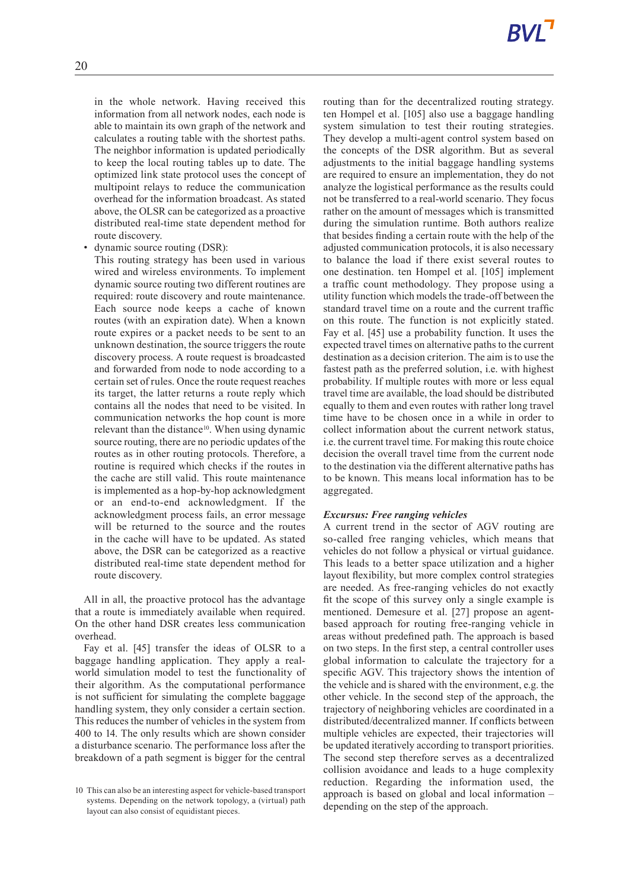in the whole network. Having received this information from all network nodes, each node is able to maintain its own graph of the network and calculates a routing table with the shortest paths. The neighbor information is updated periodically to keep the local routing tables up to date. The optimized link state protocol uses the concept of multipoint relays to reduce the communication overhead for the information broadcast. As stated above, the OLSR can be categorized as a proactive distributed real-time state dependent method for route discovery.

dynamic source routing (DSR):

This routing strategy has been used in various wired and wireless environments. To implement dynamic source routing two different routines are required: route discovery and route maintenance. Each source node keeps a cache of known routes (with an expiration date). When a known route expires or a packet needs to be sent to an unknown destination, the source triggers the route discovery process. A route request is broadcasted and forwarded from node to node according to a certain set of rules. Once the route request reaches its target, the latter returns a route reply which contains all the nodes that need to be visited. In communication networks the hop count is more relevant than the distance<sup>10</sup>. When using dynamic source routing, there are no periodic updates of the routes as in other routing protocols. Therefore, a routine is required which checks if the routes in the cache are still valid. This route maintenance is implemented as a hop-by-hop acknowledgment or an end-to-end acknowledgment. If the acknowledgment process fails, an error message will be returned to the source and the routes in the cache will have to be updated. As stated above, the DSR can be categorized as a reactive distributed real-time state dependent method for route discovery.

All in all, the proactive protocol has the advantage that a route is immediately available when required. On the other hand DSR creates less communication overhead.

Fay et al. [45] transfer the ideas of OLSR to a baggage handling application. They apply a realworld simulation model to test the functionality of their algorithm. As the computational performance is not sufficient for simulating the complete baggage handling system, they only consider a certain section. This reduces the number of vehicles in the system from 400 to 14. The only results which are shown consider a disturbance scenario. The performance loss after the breakdown of a path segment is bigger for the central

routing than for the decentralized routing strategy. ten Hompel et al. [105] also use a baggage handling system simulation to test their routing strategies. They develop a multi-agent control system based on the concepts of the DSR algorithm. But as several adjustments to the initial baggage handling systems are required to ensure an implementation, they do not analyze the logistical performance as the results could not be transferred to a real-world scenario. They focus rather on the amount of messages which is transmitted during the simulation runtime. Both authors realize that besides finding a certain route with the help of the adjusted communication protocols, it is also necessary to balance the load if there exist several routes to one destination. ten Hompel et al. [105] implement a traffic count methodology. They propose using a utility function which models the trade-off between the standard travel time on a route and the current traffic on this route. The function is not explicitly stated. Fay et al. [45] use a probability function. It uses the expected travel times on alternative paths to the current destination as a decision criterion. The aim is to use the fastest path as the preferred solution, i.e. with highest probability. If multiple routes with more or less equal travel time are available, the load should be distributed equally to them and even routes with rather long travel time have to be chosen once in a while in order to collect information about the current network status, i.e. the current travel time. For making this route choice decision the overall travel time from the current node to the destination via the different alternative paths has to be known. This means local information has to be aggregated.

#### *Excursus: Free ranging vehicles*

A current trend in the sector of AGV routing are so-called free ranging vehicles, which means that vehicles do not follow a physical or virtual guidance. This leads to a better space utilization and a higher layout flexibility, but more complex control strategies are needed. As free-ranging vehicles do not exactly fit the scope of this survey only a single example is mentioned. Demesure et al. [27] propose an agentbased approach for routing free-ranging vehicle in areas without predefined path. The approach is based on two steps. In the first step, a central controller uses global information to calculate the trajectory for a specific AGV. This trajectory shows the intention of the vehicle and is shared with the environment, e.g. the other vehicle. In the second step of the approach, the trajectory of neighboring vehicles are coordinated in a distributed/decentralized manner. If conflicts between multiple vehicles are expected, their trajectories will be updated iteratively according to transport priorities. The second step therefore serves as a decentralized collision avoidance and leads to a huge complexity reduction. Regarding the information used, the approach is based on global and local information – depending on the step of the approach.

<sup>10</sup> This can also be an interesting aspect for vehicle-based transport systems. Depending on the network topology, a (virtual) path layout can also consist of equidistant pieces.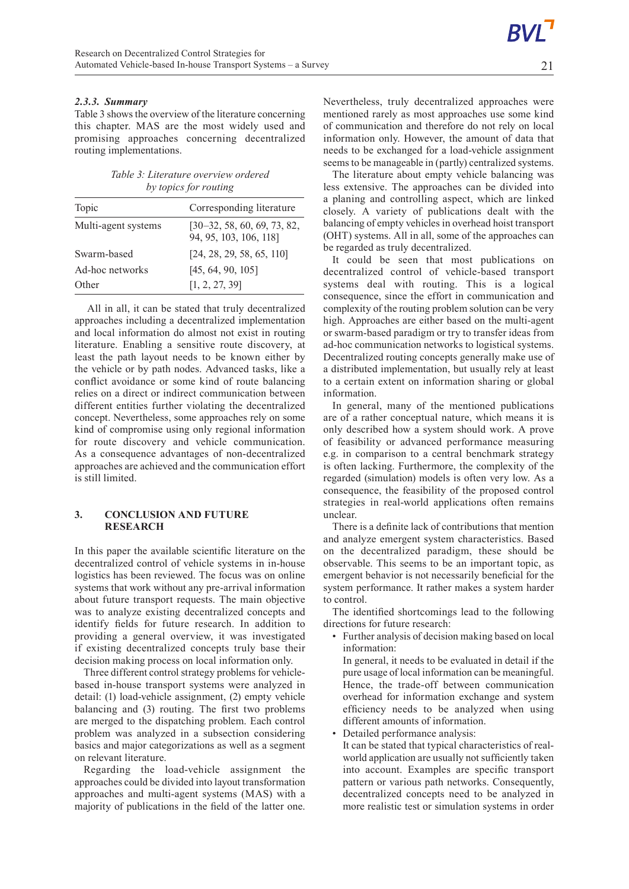Table 3 shows the overview of the literature concerning this chapter. MAS are the most widely used and promising approaches concerning decentralized routing implementations.

*Table 3: Literature overview ordered by topics for routing*

| Topic               | Corresponding literature                                |
|---------------------|---------------------------------------------------------|
| Multi-agent systems | $[30-32, 58, 60, 69, 73, 82,$<br>94, 95, 103, 106, 118] |
| Swarm-based         | [24, 28, 29, 58, 65, 110]                               |
| Ad-hoc networks     | [45, 64, 90, 105]                                       |
| Other               | [1, 2, 27, 39]                                          |

All in all, it can be stated that truly decentralized approaches including a decentralized implementation and local information do almost not exist in routing literature. Enabling a sensitive route discovery, at least the path layout needs to be known either by the vehicle or by path nodes. Advanced tasks, like a conflict avoidance or some kind of route balancing relies on a direct or indirect communication between different entities further violating the decentralized concept. Nevertheless, some approaches rely on some kind of compromise using only regional information for route discovery and vehicle communication. As a consequence advantages of non-decentralized approaches are achieved and the communication effort is still limited.

# **3. CONCLUSION AND FUTURE RESEARCH**

In this paper the available scientific literature on the decentralized control of vehicle systems in in-house logistics has been reviewed. The focus was on online systems that work without any pre-arrival information about future transport requests. The main objective was to analyze existing decentralized concepts and identify fields for future research. In addition to providing a general overview, it was investigated if existing decentralized concepts truly base their decision making process on local information only.

Three different control strategy problems for vehiclebased in-house transport systems were analyzed in detail: (1) load-vehicle assignment, (2) empty vehicle balancing and (3) routing. The first two problems are merged to the dispatching problem. Each control problem was analyzed in a subsection considering basics and major categorizations as well as a segment on relevant literature.

Regarding the load-vehicle assignment the approaches could be divided into layout transformation approaches and multi-agent systems (MAS) with a majority of publications in the field of the latter one.

The literature about empty vehicle balancing was less extensive. The approaches can be divided into a planing and controlling aspect, which are linked closely. A variety of publications dealt with the balancing of empty vehicles in overhead hoist transport (OHT) systems. All in all, some of the approaches can be regarded as truly decentralized.

It could be seen that most publications on decentralized control of vehicle-based transport systems deal with routing. This is a logical consequence, since the effort in communication and complexity of the routing problem solution can be very high. Approaches are either based on the multi-agent or swarm-based paradigm or try to transfer ideas from ad-hoc communication networks to logistical systems. Decentralized routing concepts generally make use of a distributed implementation, but usually rely at least to a certain extent on information sharing or global information.

In general, many of the mentioned publications are of a rather conceptual nature, which means it is only described how a system should work. A prove of feasibility or advanced performance measuring e.g. in comparison to a central benchmark strategy is often lacking. Furthermore, the complexity of the regarded (simulation) models is often very low. As a consequence, the feasibility of the proposed control strategies in real-world applications often remains unclear.

There is a definite lack of contributions that mention and analyze emergent system characteristics. Based on the decentralized paradigm, these should be observable. This seems to be an important topic, as emergent behavior is not necessarily beneficial for the system performance. It rather makes a system harder to control.

The identified shortcomings lead to the following directions for future research:

• Further analysis of decision making based on local information:

In general, it needs to be evaluated in detail if the pure usage of local information can be meaningful. Hence, the trade-off between communication overhead for information exchange and system efficiency needs to be analyzed when using different amounts of information.

• Detailed performance analysis:

It can be stated that typical characteristics of realworld application are usually not sufficiently taken into account. Examples are specific transport pattern or various path networks. Consequently, decentralized concepts need to be analyzed in more realistic test or simulation systems in order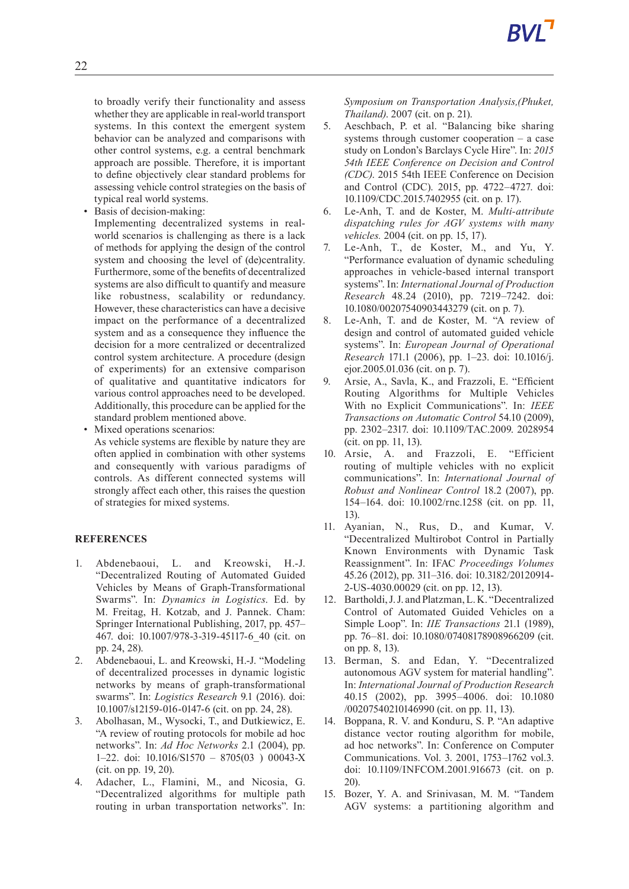to broadly verify their functionality and assess whether they are applicable in real-world transport systems. In this context the emergent system behavior can be analyzed and comparisons with other control systems, e.g. a central benchmark approach are possible. Therefore, it is important to define objectively clear standard problems for assessing vehicle control strategies on the basis of typical real world systems.

Basis of decision-making:

Implementing decentralized systems in realworld scenarios is challenging as there is a lack of methods for applying the design of the control system and choosing the level of (de)centrality. Furthermore, some of the benefits of decentralized systems are also difficult to quantify and measure like robustness, scalability or redundancy. However, these characteristics can have a decisive impact on the performance of a decentralized system and as a consequence they influence the decision for a more centralized or decentralized control system architecture. A procedure (design of experiments) for an extensive comparison of qualitative and quantitative indicators for various control approaches need to be developed. Additionally, this procedure can be applied for the standard problem mentioned above.

• Mixed operations scenarios:

As vehicle systems are flexible by nature they are often applied in combination with other systems and consequently with various paradigms of controls. As different connected systems will strongly affect each other, this raises the question of strategies for mixed systems.

# **REFERENCES**

- 1. Abdenebaoui, L. and Kreowski, H.-J. "Decentralized Routing of Automated Guided Vehicles by Means of Graph-Transformational Swarms". In: *Dynamics in Logistics*. Ed. by M. Freitag, H. Kotzab, and J. Pannek. Cham: Springer International Publishing, 2017, pp. 457– 467. doi: 10.1007/978-3-319-45117-6\_40 (cit. on pp. 24, 28).
- 2. Abdenebaoui, L. and Kreowski, H.-J. "Modeling of decentralized processes in dynamic logistic networks by means of graph-transformational swarms". In: *Logistics Research* 9.1 (2016). doi: 10.1007/s12159-016-0147-6 (cit. on pp. 24, 28).
- 3. Abolhasan, M., Wysocki, T., and Dutkiewicz, E. "A review of routing protocols for mobile ad hoc networks". In: *Ad Hoc Networks* 2.1 (2004), pp. 1–22. doi: 10.1016/S1570–8705(03 ) 00043-X (cit. on pp. 19, 20).
- 4. Adacher, L., Flamini, M., and Nicosia, G. "Decentralized algorithms for multiple path routing in urban transportation networks". In:

*Symposium on Transportation Analysis,(Phuket, Thailand)*. 2007 (cit. on p. 21).

- 5. Aeschbach, P. et al. "Balancing bike sharing systems through customer cooperation  $-$  a case study on London's Barclays Cycle Hire". In: *2015 54th IEEE Conference on Decision and Control (CDC)*. 2015 54th IEEE Conference on Decision and Control (CDC). 2015, pp. 4722–4727. doi: 10.1109/CDC.2015.7402955 (cit. on p. 17).
- 6. Le-Anh, T. and de Koster, M. *Multi-attribute dispatching rules for AGV systems with many vehicles.* 2004 (cit. on pp. 15, 17).
- 7. Le-Anh, T., de Koster, M., and Yu, Y. "Performance evaluation of dynamic scheduling approaches in vehicle-based internal transport systems". In: *International Journal of Production Research* 48.24 (2010), pp. 7219–7242. doi: 10.1080/00207540903443279 (cit. on p. 7).
- 8. Le-Anh, T. and de Koster, M. "A review of design and control of automated guided vehicle systems". In: *European Journal of Operational Research* 171.1 (2006), pp. 1–23. doi: 10.1016/j. ejor.2005.01.036 (cit. on p. 7).
- 9. Arsie, A., Savla, K., and Frazzoli, E. "Efficient Routing Algorithms for Multiple Vehicles With no Explicit Communications". In: *IEEE Transactions on Automatic Control* 54.10 (2009), pp. 2302–2317. doi: 10.1109/TAC.2009. 2028954 (cit. on pp. 11, 13).
- 10. Arsie, A. and Frazzoli, E. "Efficient routing of multiple vehicles with no explicit communications". In: *International Journal of Robust and Nonlinear Control* 18.2 (2007), pp. 154–164. doi: 10.1002/rnc.1258 (cit. on pp. 11, 13).
- 11. Ayanian, N., Rus, D., and Kumar, V. "Decentralized Multirobot Control in Partially Known Environments with Dynamic Task Reassignment". In: IFAC *Proceedings Volumes* 45.26 (2012), pp. 311–316. doi: 10.3182/20120914- 2-US-4030.00029 (cit. on pp. 12, 13).
- 12. Bartholdi, J. J. and Platzman, L. K. "Decentralized Control of Automated Guided Vehicles on a Simple Loop". In: *IIE Transactions* 21.1 (1989), pp. 76–81. doi: 10.1080/07408178908966209 (cit. on pp. 8, 13).
- 13. Berman, S. and Edan, Y. "Decentralized autonomous AGV system for material handling". In: *International Journal of Production Research* 40.15 (2002), pp. 3995–4006. doi: 10.1080 /00207540210146990 (cit. on pp. 11, 13).
- 14. Boppana, R. V. and Konduru, S. P. "An adaptive distance vector routing algorithm for mobile, ad hoc networks". In: Conference on Computer Communications. Vol. 3. 2001, 1753–1762 vol.3. doi: 10.1109/INFCOM.2001.916673 (cit. on p. 20).
- 15. Bozer, Y. A. and Srinivasan, M. M. "Tandem AGV systems: a partitioning algorithm and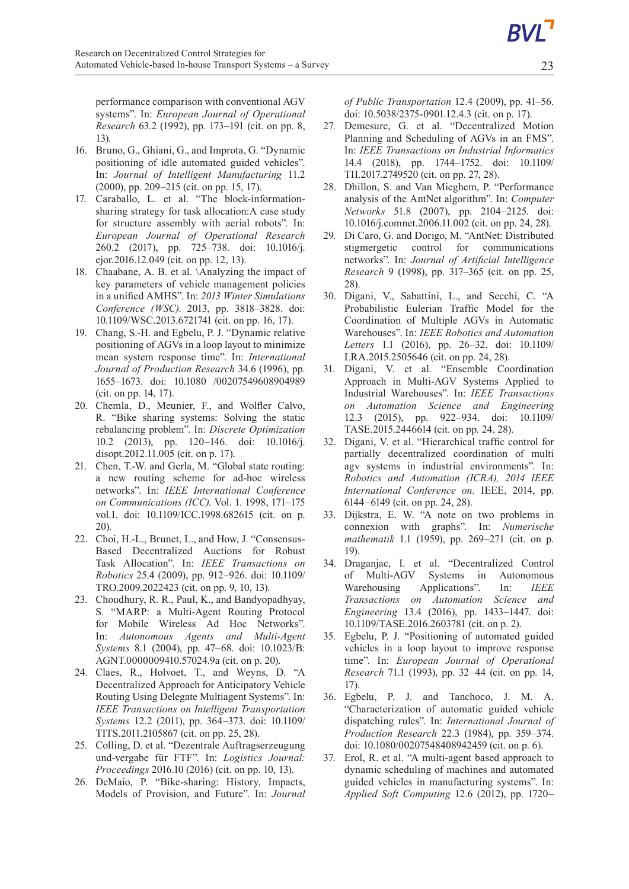performance comparison with conventional AGV systems". In: *European Journal of Operational Research* 63.2 (1992), pp. 173–191 (cit. on pp. 8, 13).

- 16. Bruno, G., Ghiani, G., and Improta, G. "Dynamic positioning of idle automated guided vehicles". In: *Journal of Intelligent Manufacturing* 11.2 (2000), pp. 209–215 (cit. on pp. 15, 17).
- 17. Caraballo, L. et al. "The block-informationsharing strategy for task allocation:A case study for structure assembly with aerial robots". In: *European Journal of Operational Research* 260.2 (2017), pp. 725–738. doi: 10.1016/j. ejor.2016.12.049 (cit. on pp. 12, 13).
- 18. Chaabane, A. B. et al. \Analyzing the impact of key parameters of vehicle management policies in a unified AMHS". In: *2013 Winter Simulations Conference (WSC)*. 2013, pp. 3818–3828. doi: 10.1109/WSC.2013.6721741 (cit. on pp. 16, 17).
- 19. Chang, S.-H. and Egbelu, P. J. "Dynamic relative positioning of AGVs in a loop layout to minimize mean system response time". In: *International Journal of Production Research* 34.6 (1996), pp. 1655–1673. doi: 10.1080 /00207549608904989 (cit. on pp. 14, 17).
- 20. Chemla, D., Meunier, F., and Wolfler Calvo, R. "Bike sharing systems: Solving the static rebalancing problem". In: *Discrete Optimization* 10.2 (2013), pp. 120–146. doi: 10.1016/j. disopt.2012.11.005 (cit. on p. 17).
- 21. Chen, T.-W. and Gerla, M. "Global state routing: a new routing scheme for ad-hoc wireless networks". In: *IEEE International Conference on Communications (ICC)*. Vol. 1. 1998, 171–175 vol.1. doi: 10.1109/ICC.1998.682615 (cit. on p. 20).
- 22. Choi, H.-L., Brunet, L., and How, J. "Consensus-Based Decentralized Auctions for Robust Task Allocation". In: *IEEE Transactions on Robotics* 25.4 (2009), pp. 912–926. doi: 10.1109/ TRO.2009.2022423 (cit. on pp. 9, 10, 13).
- 23. Choudhury, R. R., Paul, K., and Bandyopadhyay, S. "MARP: a Multi-Agent Routing Protocol for Mobile Wireless Ad Hoc Networks". In: *Autonomous Agents and Multi-Agent Systems* 8.1 (2004), pp. 47–68. doi: 10.1023/B: AGNT.0000009410.57024.9a (cit. on p. 20).
- 24. Claes, R., Holvoet, T., and Weyns, D. "A Decentralized Approach for Anticipatory Vehicle Routing Using Delegate Multiagent Systems". In: *IEEE Transactions on Intelligent Transportation Systems* 12.2 (2011), pp. 364–373. doi: 10.1109/ TITS.2011.2105867 (cit. on pp. 25, 28).
- 25. Colling, D. et al. "Dezentrale Auftragserzeugung und-vergabe für FTF". In: *Logistics Journal: Proceedings* 2016.10 (2016) (cit. on pp. 10, 13).
- 26. DeMaio, P. "Bike-sharing: History, Impacts, Models of Provision, and Future". In: *Journal*

*of Public Transportation* 12.4 (2009), pp. 41–56. doi: 10.5038/2375-0901.12.4.3 (cit. on p. 17).

- 27. Demesure, G. et al. "Decentralized Motion Planning and Scheduling of AGVs in an FMS". In: *IEEE Transactions on Industrial Informatics* 14.4 (2018), pp. 1744–1752. doi: 10.1109/ TII.2017.2749520 (cit. on pp. 27, 28).
- 28. Dhillon, S. and Van Mieghem, P. "Performance analysis of the AntNet algorithm". In: *Computer Networks* 51.8 (2007), pp. 2104–2125. doi: 10.1016/j.comnet.2006.11.002 (cit. on pp. 24, 28).
- 29. Di Caro, G. and Dorigo, M. "AntNet: Distributed stigmergetic control for communications networks". In: *Journal of Artificial Intelligence Research* 9 (1998), pp. 317–365 (cit. on pp. 25, 28).
- 30. Digani, V., Sabattini, L., and Secchi, C. "A Probabilistic Eulerian Traffic Model for the Coordination of Multiple AGVs in Automatic Warehouses". In: *IEEE Robotics and Automation Letters* 1.1 (2016), pp. 26–32. doi: 10.1109/ LRA.2015.2505646 (cit. on pp. 24, 28).
- 31. Digani, V. et al. "Ensemble Coordination Approach in Multi-AGV Systems Applied to Industrial Warehouses". In: *IEEE Transactions on Automation Science and Engineering* 12.3 (2015), pp. 922–934. doi: 10.1109/ TASE.2015.2446614 (cit. on pp. 24, 28).
- 32. Digani, V. et al. "Hierarchical traffic control for partially decentralized coordination of multi agv systems in industrial environments". In: *Robotics and Automation (ICRA), 2014 IEEE International Conference on.* IEEE, 2014, pp. 6144–6149 (cit. on pp. 24, 28).
- 33. Dijkstra, E. W. "A note on two problems in connexion with graphs". In: *Numerische mathematik* 1.1 (1959), pp. 269–271 (cit. on p. 19).
- 34. Draganjac, I. et al. "Decentralized Control of Multi-AGV Systems in Autonomous Warehousing Applications". In: *IEEE Transactions on Automation Science and Engineering* 13.4 (2016), pp. 1433–1447. doi: 10.1109/TASE.2016.2603781 (cit. on p. 2).
- 35. Egbelu, P. J. "Positioning of automated guided vehicles in a loop layout to improve response time". In: *European Journal of Operational Research* 71.1 (1993), pp. 32–44 (cit. on pp. 14, 17).
- 36. Egbelu, P. J. and Tanchoco, J. M. A. "Characterization of automatic guided vehicle dispatching rules". In: *International Journal of Production Research* 22.3 (1984), pp. 359–374. doi: 10.1080/00207548408942459 (cit. on p. 6).
- 37. Erol, R. et al. "A multi-agent based approach to dynamic scheduling of machines and automated guided vehicles in manufacturing systems". In: *Applied Soft Computing* 12.6 (2012), pp. 1720–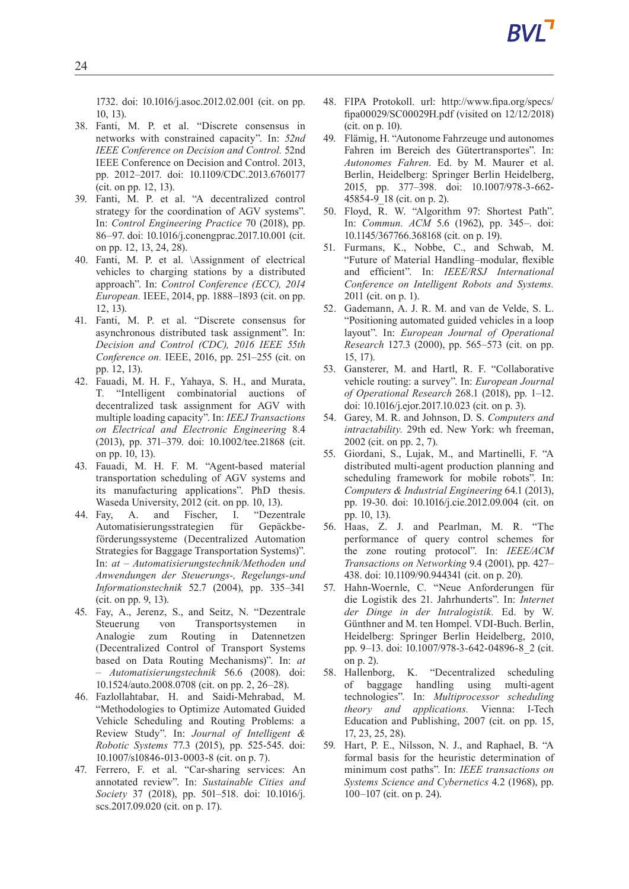1732. doi: 10.1016/j.asoc.2012.02.001 (cit. on pp. 10, 13).

- 38. Fanti, M. P. et al. "Discrete consensus in networks with constrained capacity". In: *52nd IEEE Conference on Decision and Control.* 52nd IEEE Conference on Decision and Control. 2013, pp. 2012–2017. doi: 10.1109/CDC.2013.6760177 (cit. on pp. 12, 13).
- 39. Fanti, M. P. et al. "A decentralized control strategy for the coordination of AGV systems". In: *Control Engineering Practice* 70 (2018), pp. 86–97. doi: 10.1016/j.conengprac.2017.10.001 (cit. on pp. 12, 13, 24, 28).
- 40. Fanti, M. P. et al. \Assignment of electrical vehicles to charging stations by a distributed approach". In: *Control Conference (ECC), 2014 European.* IEEE, 2014, pp. 1888–1893 (cit. on pp. 12, 13).
- 41. Fanti, M. P. et al. "Discrete consensus for asynchronous distributed task assignment". In: *Decision and Control (CDC), 2016 IEEE 55th Conference on.* IEEE, 2016, pp. 251–255 (cit. on pp. 12, 13).
- 42. Fauadi, M. H. F., Yahaya, S. H., and Murata, T. "Intelligent combinatorial auctions of decentralized task assignment for AGV with multiple loading capacity". In: *IEEJ Transactions on Electrical and Electronic Engineering* 8.4 (2013), pp. 371–379. doi: 10.1002/tee.21868 (cit. on pp. 10, 13).
- 43. Fauadi, M. H. F. M. "Agent-based material transportation scheduling of AGV systems and its manufacturing applications". PhD thesis. Waseda University, 2012 (cit. on pp. 10, 13).
- 44. Fay, A. and Fischer, I. "Dezentrale Automatisierungsstrategien für Gepäckbeförderungssysteme (Decentralized Automation Strategies for Baggage Transportation Systems)". In: *at – Automatisierungstechnik/Methoden und Anwendungen der Steuerungs-, Regelungs-und Informationstechnik* 52.7 (2004), pp. 335–341 (cit. on pp. 9, 13).
- 45. Fay, A., Jerenz, S., and Seitz, N. "Dezentrale Steuerung von Transportsystemen in Analogie zum Routing in Datennetzen (Decentralized Control of Transport Systems based on Data Routing Mechanisms)". In: *at – Automatisierungstechnik* 56.6 (2008). doi: 10.1524/auto.2008.0708 (cit. on pp. 2, 26–28).
- 46. Fazlollahtabar, H. and Saidi-Mehrabad, M. "Methodologies to Optimize Automated Guided Vehicle Scheduling and Routing Problems: a Review Study". In: *Journal of Intelligent & Robotic Systems* 77.3 (2015), pp. 525-545. doi: 10.1007/s10846-013-0003-8 (cit. on p. 7).
- 47. Ferrero, F. et al. "Car-sharing services: An annotated review". In: *Sustainable Cities and Society* 37 (2018), pp. 501–518. doi: 10.1016/j. scs.2017.09.020 (cit. on p. 17).
- 48. FIPA Protokoll. url: http://www.fipa.org/specs/ fipa00029/SC00029H.pdf (visited on 12/12/2018) (cit. on p. 10).
- 49. Flämig, H. "Autonome Fahrzeuge und autonomes Fahren im Bereich des Gütertransportes". In: *Autonomes Fahren*. Ed. by M. Maurer et al. Berlin, Heidelberg: Springer Berlin Heidelberg, 2015, pp. 377–398. doi: 10.1007/978-3-662- 45854-9\_18 (cit. on p. 2).
- 50. Floyd, R. W. "Algorithm 97: Shortest Path". In: *Commun. ACM* 5.6 (1962), pp. 345–. doi: 10.1145/367766.368168 (cit. on p. 19).
- 51. Furmans, K., Nobbe, C., and Schwab, M. "Future of Material Handling–modular, flexible and efficient". In: *IEEE/RSJ International Conference on Intelligent Robots and Systems.* 2011 (cit. on p. 1).
- 52. Gademann, A. J. R. M. and van de Velde, S. L. "Positioning automated guided vehicles in a loop" layout". In: *European Journal of Operational Research* 127.3 (2000), pp. 565–573 (cit. on pp. 15, 17).
- 53. Gansterer, M. and Hartl, R. F. "Collaborative vehicle routing: a survey". In: *European Journal of Operational Research* 268.1 (2018), pp. 1–12. doi: 10.1016/j.ejor.2017.10.023 (cit. on p. 3).
- 54. Garey, M. R. and Johnson, D. S. *Computers and intractability.* 29th ed. New York: wh freeman, 2002 (cit. on pp. 2, 7).
- 55. Giordani, S., Lujak, M., and Martinelli, F. "A distributed multi-agent production planning and scheduling framework for mobile robots". In: *Computers & Industrial Engineering* 64.1 (2013), pp. 19-30. doi: 10.1016/j.cie.2012.09.004 (cit. on pp. 10, 13).
- 56. Haas, Z. J. and Pearlman, M. R. "The performance of query control schemes for the zone routing protocol". In: *IEEE/ACM Transactions on Networking* 9.4 (2001), pp. 427– 438. doi: 10.1109/90.944341 (cit. on p. 20).
- 57. Hahn-Woernle, C. "Neue Anforderungen für die Logistik des 21. Jahrhunderts". In: *Internet der Dinge in der Intralogistik.* Ed. by W. Günthner and M. ten Hompel. VDI-Buch. Berlin, Heidelberg: Springer Berlin Heidelberg, 2010, pp. 9–13. doi: 10.1007/978-3-642-04896-8\_2 (cit. on p. 2).
- 58. Hallenborg, K. "Decentralized scheduling of baggage handling using multi-agent technologies". In: *Multiprocessor scheduling theory and applications.* Vienna: I-Tech Education and Publishing, 2007 (cit. on pp. 15, 17, 23, 25, 28).
- 59. Hart, P. E., Nilsson, N. J., and Raphael, B. "A formal basis for the heuristic determination of minimum cost paths". In: *IEEE transactions on Systems Science and Cybernetics* 4.2 (1968), pp. 100–107 (cit. on p. 24).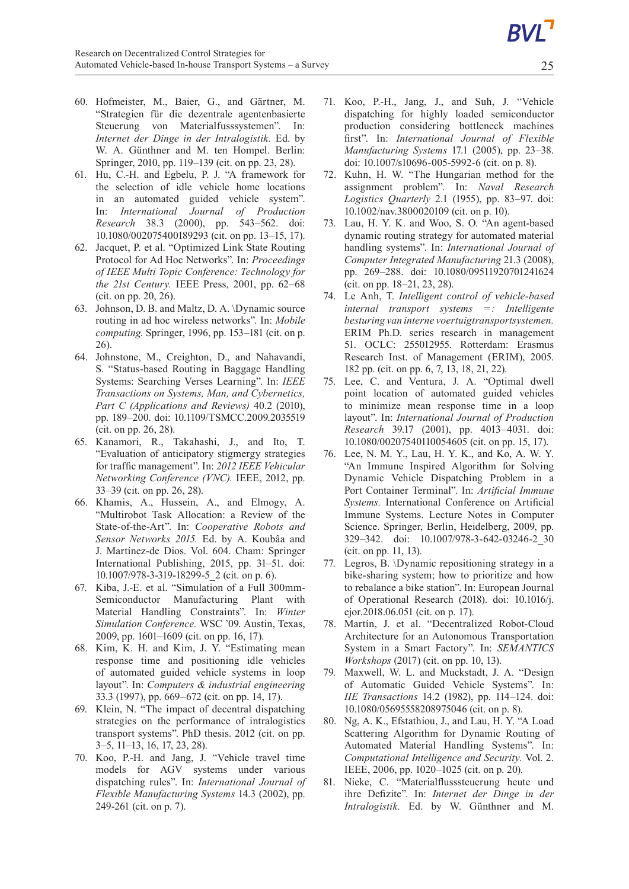- 60. Hofmeister, M., Baier, G., and Gärtner, M. "Strategien für die dezentrale agentenbasierte Steuerung von Materialfusssystemen". In: *Internet der Dinge in der Intralogistik.* Ed. by W. A. Günthner and M. ten Hompel. Berlin: Springer, 2010, pp. 119–139 (cit. on pp. 23, 28).
- 61. Hu, C.-H. and Egbelu, P. J. "A framework for the selection of idle vehicle home locations in an automated guided vehicle system". In: *International Journal of Production Research* 38.3 (2000), pp. 543–562. doi: 10.1080/002075400189293 (cit. on pp. 13–15, 17).
- 62. Jacquet, P. et al. "Optimized Link State Routing Protocol for Ad Hoc Networks". In: *Proceedings of IEEE Multi Topic Conference: Technology for the 21st Century.* IEEE Press, 2001, pp. 62–68 (cit. on pp. 20, 26).
- 63. Johnson, D. B. and Maltz, D. A. \Dynamic source routing in ad hoc wireless networks". In: *Mobile computing.* Springer, 1996, pp. 153–181 (cit. on p. 26).
- 64. Johnstone, M., Creighton, D., and Nahavandi, S. "Status-based Routing in Baggage Handling Systems: Searching Verses Learning". In: *IEEE Transactions on Systems, Man, and Cybernetics, Part C (Applications and Reviews)* 40.2 (2010), pp. 189–200. doi: 10.1109/TSMCC.2009.2035519 (cit. on pp. 26, 28).
- 65. Kanamori, R., Takahashi, J., and Ito, T. "Evaluation of anticipatory stigmergy strategies for traffic management". In: *2012 IEEE Vehicular Networking Conference (VNC).* IEEE, 2012, pp. 33–39 (cit. on pp. 26, 28).
- 66. Khamis, A., Hussein, A., and Elmogy, A. "Multirobot Task Allocation: a Review of the State-of-the-Art". In: *Cooperative Robots and Sensor Networks 2015.* Ed. by A. Koubâa and J. Martínez-de Dios. Vol. 604. Cham: Springer International Publishing, 2015, pp. 31–51. doi: 10.1007/978-3-319-18299-5\_2 (cit. on p. 6).
- 67. Kiba, J.-E. et al. "Simulation of a Full 300mm-Semiconductor Manufacturing Plant with Material Handling Constraints". In: *Winter Simulation Conference.* WSC '09. Austin, Texas, 2009, pp. 1601–1609 (cit. on pp. 16, 17).
- 68. Kim, K. H. and Kim, J. Y. "Estimating mean response time and positioning idle vehicles of automated guided vehicle systems in loop layout". In: *Computers&industrial engineering* 33.3 (1997), pp. 669–672 (cit. on pp. 14, 17).
- 69. Klein, N. "The impact of decentral dispatching strategies on the performance of intralogistics transport systems". PhD thesis. 2012 (cit. on pp. 3–5, 11–13, 16, 17, 23, 28).
- 70. Koo, P.-H. and Jang, J. "Vehicle travel time models for AGV systems under various dispatching rules". In: *International Journal of Flexible Manufacturing Systems* 14.3 (2002), pp. 249-261 (cit. on p. 7).
- 71. Koo, P.-H., Jang, J., and Suh, J. "Vehicle dispatching for highly loaded semiconductor production considering bottleneck machines first". In: *International Journal of Flexible Manufacturing Systems* 17.1 (2005), pp. 23–38. doi: 10.1007/s10696-005-5992-6 (cit. on p. 8).
- 72. Kuhn, H. W. "The Hungarian method for the assignment problem". In: *Naval Research Logistics Quarterly* 2.1 (1955), pp. 83–97. doi: 10.1002/nav.3800020109 (cit. on p. 10).
- 73. Lau, H. Y. K. and Woo, S. O. "An agent-based dynamic routing strategy for automated material handling systems". In: *International Journal of Computer Integrated Manufacturing* 21.3 (2008), pp. 269–288. doi: 10.1080/09511920701241624 (cit. on pp. 18–21, 23, 28).
- 74. Le Anh, T. *Intelligent control of vehicle-based internal transport systems = : Intelligente besturing van interne voertuigtransportsystemen.* ERIM Ph.D. series research in management 51. OCLC: 255012955. Rotterdam: Erasmus Research Inst. of Management (ERIM), 2005. 182 pp. (cit. on pp. 6, 7, 13, 18, 21, 22).
- 75. Lee, C. and Ventura, J. A. "Optimal dwell point location of automated guided vehicles to minimize mean response time in a loop layout". In: *International Journal of Production Research* 39.17 (2001), pp. 4013–4031. doi: 10.1080/00207540110054605 (cit. on pp. 15, 17).
- 76. Lee, N. M. Y., Lau, H. Y. K., and Ko, A. W. Y. "An Immune Inspired Algorithm for Solving Dynamic Vehicle Dispatching Problem in a Port Container Terminal". In: *Artificial Immune Systems.* International Conference on Artificial Immune Systems. Lecture Notes in Computer Science. Springer, Berlin, Heidelberg, 2009, pp. 329–342. doi: 10.1007/978-3-642-03246-2\_30 (cit. on pp. 11, 13).
- 77. Legros, B. \Dynamic repositioning strategy in a bike-sharing system; how to prioritize and how to rebalance a bike station". In: European Journal of Operational Research (2018). doi: 10.1016/j. ejor.2018.06.051 (cit. on p. 17).
- 78. Martín, J. et al. "Decentralized Robot-Cloud Architecture for an Autonomous Transportation System in a Smart Factory". In: *SEMANTICS Workshops* (2017) (cit. on pp. 10, 13).
- 79. Maxwell, W. L. and Muckstadt, J. A. "Design of Automatic Guided Vehicle Systems". In: *IIE Transactions* 14.2 (1982), pp. 114–124. doi: 10.1080/05695558208975046 (cit. on p. 8).
- 80. Ng, A. K., Efstathiou, J., and Lau, H. Y. "A Load Scattering Algorithm for Dynamic Routing of Automated Material Handling Systems". In: *Computational Intelligence and Security.* Vol. 2. IEEE, 2006, pp. 1020–1025 (cit. on p. 20).
- 81. Nieke, C. "Materialflusssteuerung heute und ihre Defizite". In: *Internet der Dinge in der Intralogistik.* Ed. by W. Günthner and M.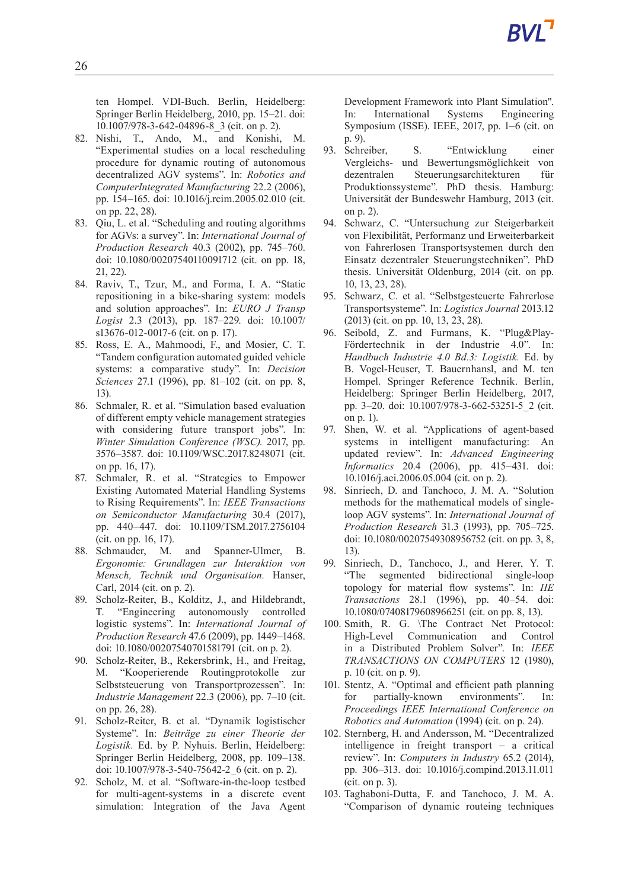ten Hompel. VDI-Buch. Berlin, Heidelberg: Springer Berlin Heidelberg, 2010, pp. 15–21. doi: 10.1007/978-3-642-04896-8\_3 (cit. on p. 2).

- 82. Nishi, T., Ando, M., and Konishi, M. "Experimental studies on a local rescheduling procedure for dynamic routing of autonomous decentralized AGV systems". In: *Robotics and ComputerIntegrated Manufacturing* 22.2 (2006), pp. 154–165. doi: 10.1016/j.rcim.2005.02.010 (cit. on pp. 22, 28).
- 83. Qiu, L. et al. "Scheduling and routing algorithms for AGVs: a survey". In: *International Journal of Production Research* 40.3 (2002), pp. 745–760. doi: 10.1080/00207540110091712 (cit. on pp. 18, 21, 22).
- 84. Raviv, T., Tzur, M., and Forma, I. A. "Static repositioning in a bike-sharing system: models and solution approaches". In: *EURO J Transp Logist* 2.3 (2013), pp. 187–229. doi: 10.1007/ s13676-012-0017-6 (cit. on p. 17).
- 85. Ross, E. A., Mahmoodi, F., and Mosier, C. T. "Tandem configuration automated guided vehicle systems: a comparative study". In: *Decision Sciences* 27.1 (1996), pp. 81–102 (cit. on pp. 8, 13).
- 86. Schmaler, R. et al. "Simulation based evaluation of different empty vehicle management strategies with considering future transport jobs". In: *Winter Simulation Conference (WSC).* 2017, pp. 3576–3587. doi: 10.1109/WSC.2017.8248071 (cit. on pp. 16, 17).
- 87. Schmaler, R. et al. "Strategies to Empower Existing Automated Material Handling Systems to Rising Requirements". In: *IEEE Transactions on Semiconductor Manufacturing* 30.4 (2017), pp. 440–447. doi: 10.1109/TSM.2017.2756104 (cit. on pp. 16, 17).
- 88. Schmauder, M. and Spanner-Ulmer, B. *Ergonomie: Grundlagen zur Interaktion von Mensch, Technik und Organisation.* Hanser, Carl, 2014 (cit. on p. 2).
- 89. Scholz-Reiter, B., Kolditz, J., and Hildebrandt, T. "Engineering autonomously controlled logistic systems". In: *International Journal of Production Research* 47.6 (2009), pp. 1449–1468. doi: 10.1080/00207540701581791 (cit. on p. 2).
- 90. Scholz-Reiter, B., Rekersbrink, H., and Freitag, M. "Kooperierende Routingprotokolle zur Selbststeuerung von Transportprozessen". In: *Industrie Management* 22.3 (2006), pp. 7–10 (cit. on pp. 26, 28).
- 91. Scholz-Reiter, B. et al. "Dynamik logistischer Systeme". In: *Beiträge zu einer Theorie der Logistik.* Ed. by P. Nyhuis. Berlin, Heidelberg: Springer Berlin Heidelberg, 2008, pp. 109–138. doi: 10.1007/978-3-540-75642-2\_6 (cit. on p. 2).
- 92. Scholz, M. et al. "Software-in-the-loop testbed for multi-agent-systems in a discrete event simulation: Integration of the Java Agent

Development Framework into Plant Simulation". In: International Systems Engineering Symposium (ISSE). IEEE, 2017, pp. 1–6 (cit. on p. 9).

- 93. Schreiber, S. "Entwicklung einer Vergleichs- und Bewertungsmöglichkeit von dezentralen Steuerungsarchitekturen für Produktionssysteme". PhD thesis. Hamburg: Universität der Bundeswehr Hamburg, 2013 (cit. on p. 2).
- 94. Schwarz, C. "Untersuchung zur Steigerbarkeit von Flexibilität, Performanz und Erweiterbarkeit von Fahrerlosen Transportsystemen durch den Einsatz dezentraler Steuerungstechniken". PhD thesis. Universität Oldenburg, 2014 (cit. on pp. 10, 13, 23, 28).
- 95. Schwarz, C. et al. "Selbstgesteuerte Fahrerlose Transportsysteme". In: *Logistics Journal* 2013.12 (2013) (cit. on pp. 10, 13, 23, 28).
- 96. Seibold, Z. and Furmans, K. "Plug&Play-Fördertechnik in der Industrie 4.0". In: *Handbuch Industrie 4.0 Bd.3: Logistik.* Ed. by B. Vogel-Heuser, T. Bauernhansl, and M. ten Hompel. Springer Reference Technik. Berlin, Heidelberg: Springer Berlin Heidelberg, 2017, pp. 3–20. doi: 10.1007/978-3-662-53251-5\_2 (cit. on p. 1).
- 97. Shen, W. et al. "Applications of agent-based systems in intelligent manufacturing: An updated review". In: *Advanced Engineering Informatics* 20.4 (2006), pp. 415–431. doi: 10.1016/j.aei.2006.05.004 (cit. on p. 2).
- 98. Sinriech, D. and Tanchoco, J. M. A. "Solution methods for the mathematical models of singleloop AGV systems". In: *International Journal of Production Research* 31.3 (1993), pp. 705–725. doi: 10.1080/00207549308956752 (cit. on pp. 3, 8, 13).
- 99. Sinriech, D., Tanchoco, J., and Herer, Y. T. "The segmented bidirectional single-loop topology for material flow systems". In: *IIE Transactions* 28.1 (1996), pp. 40–54. doi: 10.1080/07408179608966251 (cit. on pp. 8, 13).
- 100. Smith, R. G. \The Contract Net Protocol: High-Level Communication and Control in a Distributed Problem Solver". In: *IEEE TRANSACTIONS ON COMPUTERS* 12 (1980), p. 10 (cit. on p. 9).
- 101. Stentz, A. "Optimal and efficient path planning for partially-known environments". In: *Proceedings IEEE International Conference on Robotics and Automation* (1994) (cit. on p. 24).
- 102. Sternberg, H. and Andersson, M. "Decentralized intelligence in freight transport  $-$  a critical review". In: *Computers in Industry* 65.2 (2014), pp. 306–313. doi: 10.1016/j.compind.2013.11.011 (cit. on p. 3).
- 103. Taghaboni-Dutta, F. and Tanchoco, J. M. A. "Comparison of dynamic routeing techniques